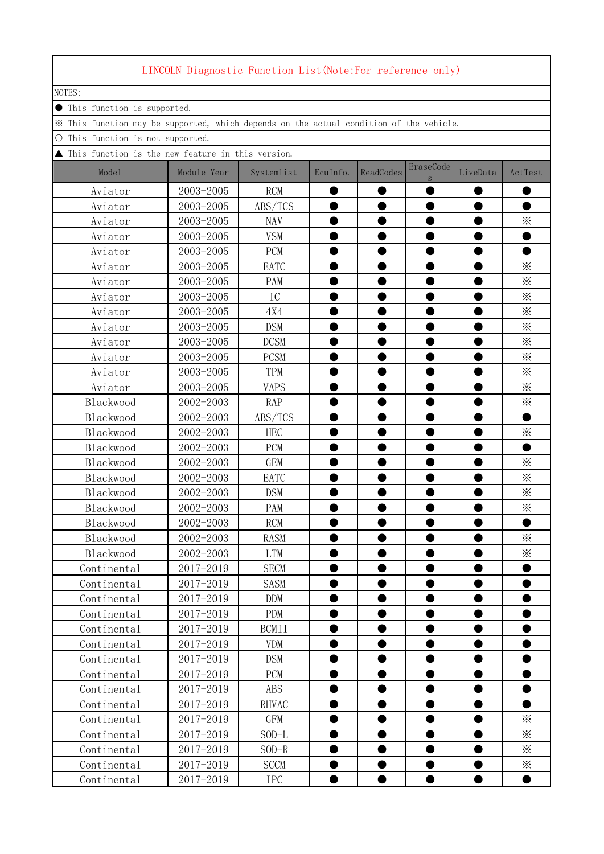|           |        |                             |                                 | LINCOLN Diagnostic Function List(Note:For reference only)                               |           |           |                |           |          |
|-----------|--------|-----------------------------|---------------------------------|-----------------------------------------------------------------------------------------|-----------|-----------|----------------|-----------|----------|
|           | NOTES: |                             |                                 |                                                                                         |           |           |                |           |          |
| $\bullet$ |        | This function is supported. |                                 |                                                                                         |           |           |                |           |          |
|           |        |                             |                                 | * This function may be supported, which depends on the actual condition of the vehicle. |           |           |                |           |          |
| О         |        |                             | This function is not supported. |                                                                                         |           |           |                |           |          |
|           |        |                             |                                 | $\blacktriangle$ This function is the new feature in this version.                      |           |           |                |           |          |
|           |        | Model                       | Module Year                     | Systemlist                                                                              | EcuInfo.  | ReadCodes | EraseCode<br>S | LiveData  | ActTest  |
|           |        | Aviator                     | 2003-2005                       | <b>RCM</b>                                                                              |           |           |                |           |          |
|           |        | Aviator                     | 2003-2005                       | ABS/TCS                                                                                 |           |           |                |           |          |
|           |        | Aviator                     | 2003-2005                       | <b>NAV</b>                                                                              |           |           |                |           | $\times$ |
|           |        | Aviator                     | 2003-2005                       | <b>VSM</b>                                                                              |           |           |                |           |          |
|           |        | Aviator                     | 2003-2005                       | PCM                                                                                     |           |           |                |           |          |
|           |        | Aviator                     | 2003-2005                       | EATC                                                                                    |           |           |                |           | ⋇        |
|           |        | Aviator                     | 2003-2005                       | PAM                                                                                     |           |           |                |           | ፠        |
|           |        | Aviator                     | 2003-2005                       | IC                                                                                      |           |           |                |           | ፠        |
|           |        | Aviator                     | 2003-2005                       | 4X4                                                                                     |           |           |                |           | ፠        |
|           |        | Aviator                     | 2003-2005                       | <b>DSM</b>                                                                              |           |           |                |           | ፠        |
|           |        | Aviator                     | 2003-2005                       | <b>DCSM</b>                                                                             |           |           |                |           | ፠        |
|           |        | Aviator                     | 2003-2005                       | <b>PCSM</b>                                                                             |           |           |                |           | ፠        |
|           |        | Aviator                     | 2003-2005                       | TPM                                                                                     |           |           |                |           | $\times$ |
|           |        | Aviator                     | 2003-2005                       | <b>VAPS</b>                                                                             |           |           |                |           | ፠        |
|           |        | Blackwood                   | 2002-2003                       | <b>RAP</b>                                                                              |           |           |                |           | ፠        |
|           |        | Blackwood                   | 2002-2003                       | ABS/TCS                                                                                 |           |           |                |           |          |
|           |        | Blackwood                   | 2002-2003                       | <b>HEC</b>                                                                              |           |           |                |           | ⋇        |
|           |        | Blackwood                   | 2002-2003                       | <b>PCM</b>                                                                              |           |           |                |           |          |
|           |        | Blackwood                   | 2002-2003                       | <b>GEM</b>                                                                              |           |           |                |           | $\times$ |
|           |        | Blackwood                   | 2002-2003                       | EATC                                                                                    |           |           |                |           | ፠        |
|           |        | Blackwood                   | 2002-2003                       | <b>DSM</b>                                                                              |           |           |                |           | ፠        |
|           |        | Blackwood                   | 2002-2003                       | PAM                                                                                     |           |           |                |           | ፠        |
|           |        | Blackwood                   | 2002-2003                       | <b>RCM</b>                                                                              |           |           |                |           |          |
|           |        | Blackwood                   | 2002-2003                       | <b>RASM</b>                                                                             |           |           |                |           | ፠        |
|           |        | Blackwood                   | 2002-2003                       | <b>LTM</b>                                                                              |           |           |                |           | $\times$ |
|           |        | Continental                 | 2017-2019                       | <b>SECM</b>                                                                             |           |           |                |           |          |
|           |        | Continental                 | 2017-2019                       | <b>SASM</b>                                                                             |           |           |                |           |          |
|           |        | Continental                 | 2017-2019                       | <b>DDM</b>                                                                              |           |           |                |           |          |
|           |        | Continental                 | 2017-2019                       | <b>PDM</b>                                                                              |           |           |                |           |          |
|           |        | Continental                 | 2017-2019                       | <b>BCMII</b>                                                                            |           |           |                |           |          |
|           |        | Continental                 | 2017-2019                       | <b>VDM</b>                                                                              | ●         | e         |                | ●         |          |
|           |        | Continental                 | 2017-2019                       | <b>DSM</b>                                                                              |           |           |                |           |          |
|           |        | Continental                 | 2017-2019                       | PCM                                                                                     | ●         | 0         |                | $\bullet$ |          |
|           |        | Continental                 | 2017-2019                       | <b>ABS</b>                                                                              |           |           |                |           |          |
|           |        | Continental                 | 2017-2019                       | RHVAC                                                                                   | $\bullet$ |           |                | ●         |          |
|           |        | Continental                 | 2017-2019                       | GFM                                                                                     |           |           |                |           | $\times$ |
|           |        | Continental                 | 2017-2019                       | $SOD-L$                                                                                 |           |           |                |           | $\times$ |
|           |        | Continental                 | 2017-2019                       | $SOD-R$                                                                                 |           |           |                |           | ⋇        |
|           |        | Continental                 | 2017-2019                       | <b>SCCM</b>                                                                             | $\bullet$ | $\bullet$ | $\bullet$      | $\bullet$ | $\times$ |
|           |        | Continental                 | 2017-2019                       | IPC                                                                                     | ●         | $\bullet$ |                | $\bullet$ | D        |

Г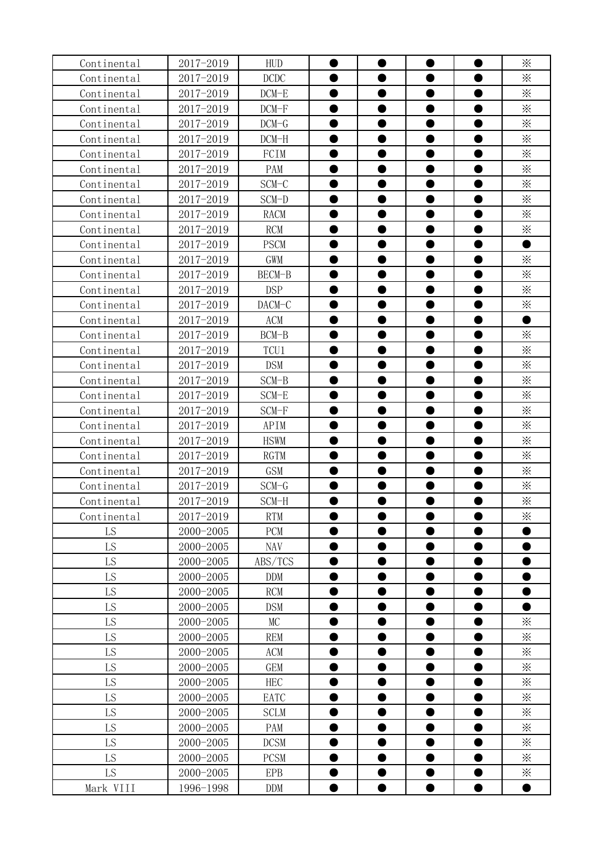| Continental | 2017-2019 | <b>HUD</b>  |           |                |           | $\times$        |
|-------------|-----------|-------------|-----------|----------------|-----------|-----------------|
| Continental | 2017-2019 | DCDC        | D         |                |           | $\times$        |
| Continental | 2017-2019 | $DCM-E$     |           | $\bullet$      |           | $\times$        |
| Continental | 2017-2019 | $DCM-F$     |           |                |           | $\times$        |
| Continental | 2017-2019 | $DCM-G$     |           |                |           | $\times$        |
| Continental | 2017-2019 | $DCM-H$     |           |                |           | $\times$        |
| Continental | 2017-2019 | FCIM        |           | $\bullet$      |           | $\times$        |
| Continental | 2017-2019 | PAM         |           |                |           | $\times$        |
| Continental | 2017-2019 | $SCM-C$     |           |                |           | $\times$        |
| Continental | 2017-2019 | SCM-D       |           |                |           | $\times$        |
| Continental | 2017-2019 | <b>RACM</b> |           |                |           | $\times$        |
| Continental | 2017-2019 | <b>RCM</b>  |           |                |           | $\times$        |
| Continental | 2017-2019 | <b>PSCM</b> |           |                |           |                 |
| Continental | 2017-2019 | <b>GWM</b>  |           |                |           | $\times$        |
| Continental | 2017-2019 | BECM-B      |           |                |           | $\times$        |
| Continental | 2017-2019 | <b>DSP</b>  |           |                |           | $\times$        |
| Continental | 2017-2019 | DACM-C      |           |                |           | $\times$        |
| Continental | 2017-2019 | ACM         |           |                |           |                 |
| Continental | 2017-2019 | $BCM-B$     |           | ●              |           | $\times$        |
| Continental | 2017-2019 | TCU1        | ●         | ●              | D         | $\times$        |
| Continental | 2017-2019 | <b>DSM</b>  |           | Ð              |           | $\times$        |
| Continental | 2017-2019 | SCM-B       | ●         | $\bullet$      | $\bullet$ | $\times$        |
| Continental | 2017-2019 | SCM-E       |           |                |           | $\times$        |
| Continental | 2017-2019 | $SCM-F$     |           |                |           | $\times$        |
| Continental | 2017-2019 | APIM        |           |                |           | $\times$        |
| Continental | 2017-2019 | <b>HSWM</b> | $\bullet$ | D              |           | $\times$        |
| Continental | 2017-2019 | <b>RGTM</b> | D         | D              |           | $\times$        |
| Continental | 2017-2019 | <b>GSM</b>  |           |                |           | $\times$        |
| Continental | 2017-2019 | $SCM-G$     |           |                |           | $\times$        |
| Continental | 2017-2019 | SCM-H       |           | 0              |           | $\times$        |
| Continental | 2017-2019 | <b>RTM</b>  |           |                |           | ፠               |
| LS          | 2000-2005 | PCM         |           |                |           |                 |
| LS          | 2000-2005 | NAV         |           | $\bullet$      |           |                 |
| LS          | 2000-2005 | ABS/TCS     | $\bullet$ | $\bullet$      | D         |                 |
| LS          | 2000-2005 | <b>DDM</b>  |           | ●              |           |                 |
| LS          | 2000-2005 | <b>RCM</b>  |           |                |           |                 |
| LS          | 2000-2005 | <b>DSM</b>  |           |                |           |                 |
| LS          | 2000-2005 | MC          |           |                |           | $\times$        |
| LS          | 2000-2005 | <b>REM</b>  |           | ●              |           | $\ddot{\times}$ |
| LS          | 2000-2005 | ACM         |           |                |           | $\times$        |
| LS          | 2000-2005 | <b>GEM</b>  |           | ●              |           | $\times$        |
| LS          | 2000-2005 | <b>HEC</b>  |           | ●              |           | $\times$        |
| LS          | 2000-2005 | EATC        |           | ●              |           | $\ddot \times$  |
| LS          | 2000-2005 | <b>SCLM</b> |           | $\bullet$      | D         | $\times$        |
| LS          | 2000-2005 | PAM         |           | ●              |           | $\times$        |
| LS          | 2000-2005 | <b>DCSM</b> |           | $\bullet$      | D         | $\times$        |
| LS          | 2000-2005 | <b>PCSM</b> | $\bullet$ | $\bullet$<br>● | $\bullet$ | $\times$        |
| LS          | 2000-2005 | <b>EPB</b>  |           | $\bullet$      | ●         | $\ddot{\times}$ |
| Mark VIII   | 1996-1998 | DDM         | $\bullet$ | $\bullet$      | $\bullet$ | $\bullet$       |
|             |           |             |           |                |           |                 |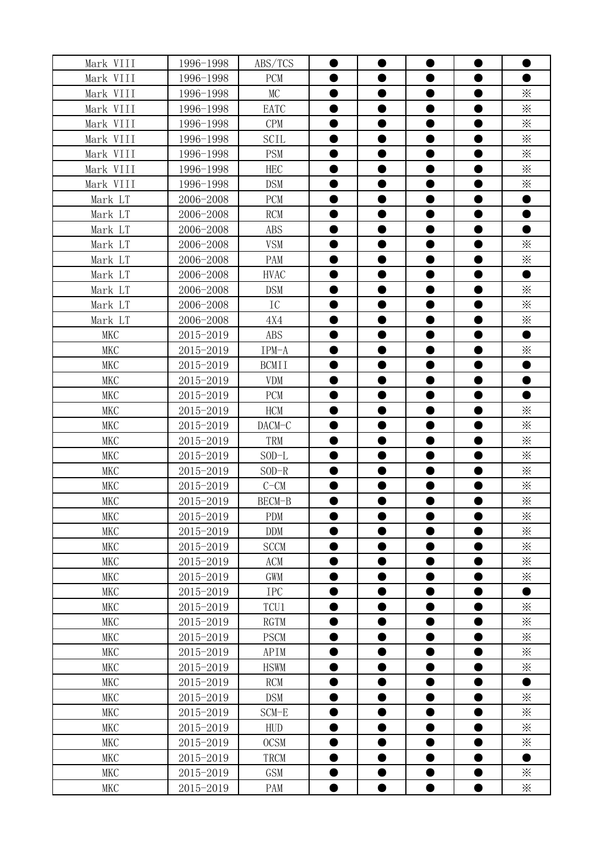| Mark VIII  | 1996-1998 | ABS/TCS      |           |           |           |                 |
|------------|-----------|--------------|-----------|-----------|-----------|-----------------|
| Mark VIII  | 1996-1998 | <b>PCM</b>   |           |           |           |                 |
| Mark VIII  | 1996-1998 | MC           |           | $\bullet$ |           | $\times$        |
| Mark VIII  | 1996-1998 | EATC         |           | D         |           | $\times$        |
| Mark VIII  | 1996-1998 | <b>CPM</b>   |           |           |           | $\times$        |
| Mark VIII  | 1996-1998 | <b>SCIL</b>  |           | ●         |           | $\times$        |
| Mark VIII  | 1996-1998 | <b>PSM</b>   |           |           |           | $\times$        |
| Mark VIII  | 1996-1998 | <b>HEC</b>   |           |           |           | $\ddot{\times}$ |
| Mark VIII  | 1996-1998 | <b>DSM</b>   |           |           |           | $\times$        |
| Mark LT    | 2006-2008 | <b>PCM</b>   |           |           |           |                 |
| Mark LT    | 2006-2008 | <b>RCM</b>   |           | $\bullet$ |           |                 |
| Mark LT    | 2006-2008 | <b>ABS</b>   |           | ●         |           |                 |
| Mark LT    | 2006-2008 | <b>VSM</b>   |           |           |           | $\times$        |
| Mark LT    | 2006-2008 | PAM          |           | ●         |           | $\times$        |
| Mark LT    | 2006-2008 | <b>HVAC</b>  |           | ●         |           |                 |
| Mark LT    | 2006-2008 | <b>DSM</b>   |           | ●         | ●         | $\times$        |
| Mark LT    | 2006-2008 | IC           |           | ●         | O         | $\times$        |
| Mark LT    | 2006-2008 | 4X4          | 0         | $\bullet$ | $\bullet$ | $\times$        |
| <b>MKC</b> | 2015-2019 | ABS          |           | $\bullet$ |           |                 |
| <b>MKC</b> | 2015-2019 | IPM-A        |           |           |           | $\times$        |
| <b>MKC</b> | 2015-2019 | <b>BCMII</b> |           | D         |           |                 |
| <b>MKC</b> | 2015-2019 | <b>VDM</b>   |           | D         |           |                 |
| <b>MKC</b> | 2015-2019 | <b>PCM</b>   |           |           |           |                 |
| <b>MKC</b> | 2015-2019 | <b>HCM</b>   |           |           |           | $\times$        |
| <b>MKC</b> | 2015-2019 | DACM-C       |           |           |           | $\times$        |
| <b>MKC</b> | 2015-2019 | TRM          | $\bullet$ | $\bullet$ | D         | $\times$        |
| <b>MKC</b> | 2015-2019 | $SOD-L$      | ●         | 0         |           | $\times$        |
| <b>MKC</b> | 2015-2019 | $SOD-R$      |           |           |           | $\times$        |
| <b>MKC</b> | 2015-2019 | $C-CM$       |           |           |           | $\times$        |
| <b>MKC</b> | 2015-2019 | BECM-B       |           | $\bullet$ |           | $\ddot{\times}$ |
| <b>MKC</b> | 2015-2019 | <b>PDM</b>   |           |           |           | $\times$        |
| <b>MKC</b> | 2015-2019 | DDM          |           |           |           | $\times$        |
| <b>MKC</b> | 2015-2019 | <b>SCCM</b>  |           |           |           | $\ddot{\times}$ |
| <b>MKC</b> | 2015-2019 | ACM          |           | ●         |           | $\times$        |
| <b>MKC</b> | 2015-2019 | GWM          |           | ●         |           | $\ddot{\times}$ |
| <b>MKC</b> | 2015-2019 | <b>IPC</b>   |           |           |           |                 |
| <b>MKC</b> | 2015-2019 | TCU1         |           | ●         |           | $\times$        |
| <b>MKC</b> | 2015-2019 | <b>RGTM</b>  |           |           |           | $\times$        |
| <b>MKC</b> | 2015-2019 | <b>PSCM</b>  | ●         | $\bullet$ | ●         | $\times$        |
| <b>MKC</b> | 2015-2019 | APIM         |           | D         |           | $\times$        |
| <b>MKC</b> | 2015-2019 | <b>HSWM</b>  |           | ●         | D         | $\times$        |
| <b>MKC</b> | 2015-2019 | <b>RCM</b>   | $\bullet$ | $\bullet$ | $\bullet$ | -               |
| <b>MKC</b> | 2015-2019 | <b>DSM</b>   | ●         | $\bullet$ | ●         | $\times$        |
| <b>MKC</b> | 2015-2019 | SCM-E        | ●         | $\bullet$ | $\bullet$ | $\times$        |
| <b>MKC</b> | 2015-2019 | <b>HUD</b>   | 0         | $\bullet$ | $\bullet$ | $\times$        |
| <b>MKC</b> | 2015-2019 | <b>OCSM</b>  |           | ●         | ●         | $\times$        |
| <b>MKC</b> | 2015-2019 | TRCM         | ●         | $\bullet$ | ●         | ●               |
| <b>MKC</b> | 2015-2019 | <b>GSM</b>   |           |           |           | $\times$        |
| MKC        | 2015-2019 | PAM          | $\bullet$ | $\bullet$ | $\bullet$ | $\ddot{\times}$ |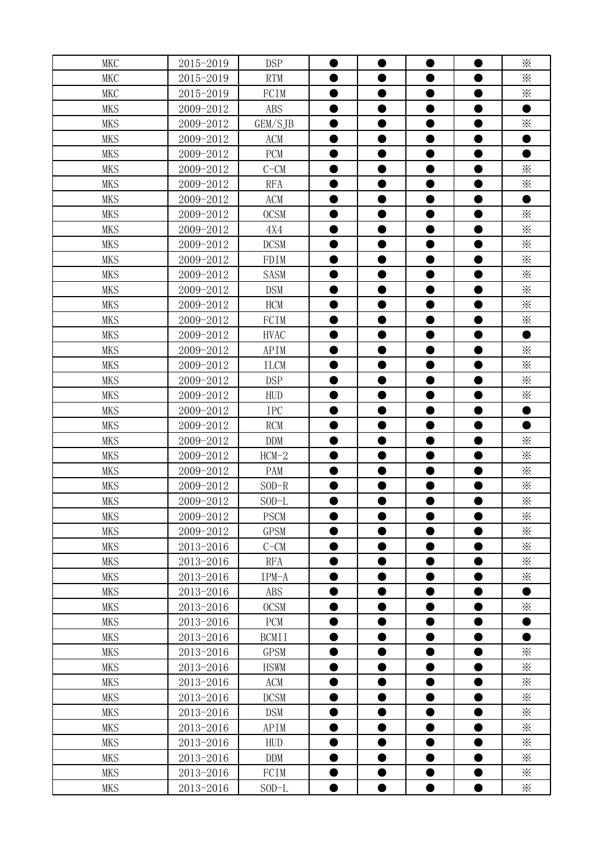| <b>MKC</b> | 2015-2019 | <b>DSP</b>   |                | $\bullet$ | $\bullet$ | $\times$        |
|------------|-----------|--------------|----------------|-----------|-----------|-----------------|
| <b>MKC</b> | 2015-2019 | <b>RTM</b>   |                | ●         |           | $\times$        |
| <b>MKC</b> | 2015-2019 | FCIM         |                | 0         |           | $\times$        |
| <b>MKS</b> | 2009-2012 | <b>ABS</b>   |                |           |           |                 |
| <b>MKS</b> | 2009-2012 | GEM/SJB      |                | ●         | O         | $\times$        |
| <b>MKS</b> | 2009-2012 | ACM          |                | D         |           |                 |
| <b>MKS</b> | 2009-2012 | <b>PCM</b>   | $\blacksquare$ | ●         |           |                 |
| <b>MKS</b> | 2009-2012 | $C-CM$       |                | D         |           | $\times$        |
| <b>MKS</b> | 2009-2012 | <b>RFA</b>   | 0              | $\bullet$ | O         | $\times$        |
| <b>MKS</b> | 2009-2012 | ACM          |                | $\bullet$ |           |                 |
| <b>MKS</b> | 2009-2012 | <b>OCSM</b>  |                | 0         |           | $\times$        |
| <b>MKS</b> | 2009-2012 | 4X4          |                |           |           | $\times$        |
| <b>MKS</b> | 2009-2012 | <b>DCSM</b>  | ●              | $\bullet$ | $\bullet$ | $\times$        |
| <b>MKS</b> | 2009-2012 | FDIM         |                | D         |           | $\times$        |
| <b>MKS</b> | 2009-2012 | <b>SASM</b>  |                |           |           | $\times$        |
| <b>MKS</b> | 2009-2012 | <b>DSM</b>   |                |           |           | $\times$        |
| <b>MKS</b> | 2009-2012 | <b>HCM</b>   |                |           |           | $\times$        |
| <b>MKS</b> | 2009-2012 | FCIM         |                |           |           | $\times$        |
| <b>MKS</b> | 2009-2012 | <b>HVAC</b>  |                |           |           | ●               |
| <b>MKS</b> | 2009-2012 | APIM         |                |           |           | $\times$        |
| <b>MKS</b> | 2009-2012 | <b>ILCM</b>  |                |           |           | $\times$        |
| <b>MKS</b> | 2009-2012 | <b>DSP</b>   |                | $\bullet$ | ●         | $\times$        |
| <b>MKS</b> | 2009-2012 | <b>HUD</b>   |                | ●         | ●         | $\times$        |
| <b>MKS</b> | 2009-2012 | <b>IPC</b>   |                | ●         | ●         | ●               |
| <b>MKS</b> | 2009-2012 | RCM          |                | D         | O         |                 |
| <b>MKS</b> | 2009-2012 | <b>DDM</b>   |                | $\bullet$ | ●         | $\times$        |
| <b>MKS</b> | 2009-2012 | $HCM-2$      |                | $\bullet$ | ●         | $\times$        |
| <b>MKS</b> | 2009-2012 | PAM          |                | ●         | ●         | $\times$        |
| <b>MKS</b> | 2009-2012 | $SOD-R$      |                | D         |           | $\times$        |
| <b>MKS</b> | 2009-2012 | $SOD-L$      |                |           |           | $\times$        |
| <b>MKS</b> | 2009-2012 | <b>PSCM</b>  |                |           |           | $\times$        |
| <b>MKS</b> | 2009-2012 | <b>GPSM</b>  |                |           |           | $\ddot{\times}$ |
| <b>MKS</b> | 2013-2016 | $C-CM$       |                | D         |           | $\times$        |
| <b>MKS</b> | 2013-2016 | <b>RFA</b>   | ●              | $\bullet$ | 0         | $\times$        |
| <b>MKS</b> | 2013-2016 | IPM-A        | D              | $\bullet$ | D         | $\times$        |
| <b>MKS</b> | 2013-2016 | ABS          |                | D         | 0         |                 |
| <b>MKS</b> | 2013-2016 | <b>OCSM</b>  | D              | $\bullet$ |           | $\times$        |
| <b>MKS</b> | 2013-2016 | PCM          |                | D         |           |                 |
| <b>MKS</b> | 2013-2016 | <b>BCMII</b> |                | D         |           |                 |
| <b>MKS</b> | 2013-2016 | <b>GPSM</b>  |                | $\bullet$ |           | $\times$        |
| <b>MKS</b> | 2013-2016 | <b>HSWM</b>  |                | ●         |           | $\times$        |
| <b>MKS</b> | 2013-2016 | ACM          |                | D         |           | $\times$        |
| <b>MKS</b> | 2013-2016 | <b>DCSM</b>  |                |           |           | $\times$        |
| <b>MKS</b> | 2013-2016 | <b>DSM</b>   |                |           |           | $\ddot{\times}$ |
| <b>MKS</b> | 2013-2016 | APIM         |                |           |           | $\times$        |
| <b>MKS</b> | 2013-2016 | <b>HUD</b>   |                |           |           | $\mathbb{X}$    |
| <b>MKS</b> | 2013-2016 | <b>DDM</b>   |                | ●         |           | $\times$        |
| <b>MKS</b> | 2013-2016 | FCIM         |                | $\bullet$ |           | $\ddot{\times}$ |
| <b>MKS</b> | 2013-2016 | $SOD-L$      |                | $\bullet$ | $\bullet$ | $\times$        |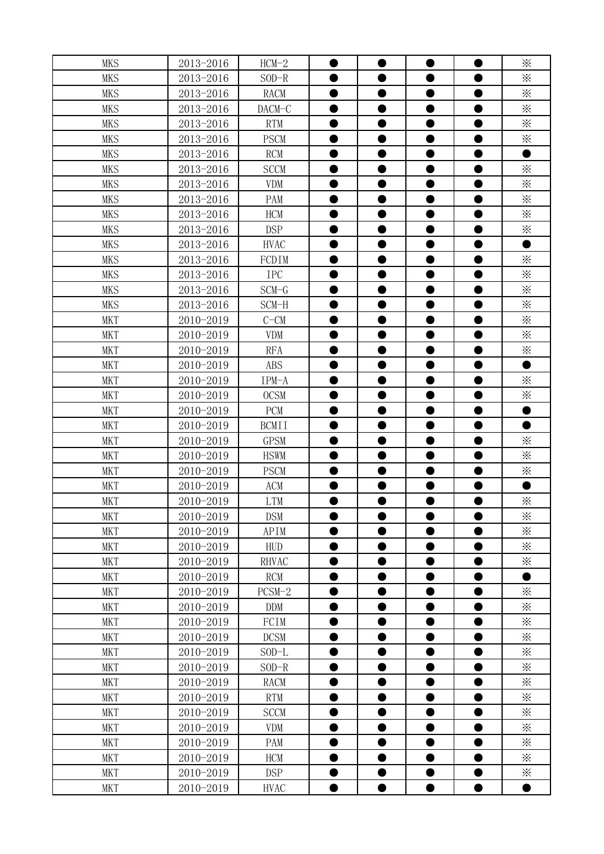| <b>MKS</b> | 2013-2016 | $HCM-2$      |           |           | ●         | $\times$        |
|------------|-----------|--------------|-----------|-----------|-----------|-----------------|
| <b>MKS</b> | 2013-2016 | $SOD-R$      |           |           |           | $\times$        |
| <b>MKS</b> | 2013-2016 | <b>RACM</b>  | ●         | 0         |           | $\times$        |
| <b>MKS</b> | 2013-2016 | DACM-C       |           | D         |           | $\times$        |
| <b>MKS</b> | 2013-2016 | <b>RTM</b>   | $\bullet$ | $\bullet$ | D         | $\times$        |
| <b>MKS</b> | 2013-2016 | <b>PSCM</b>  | ●         | $\bullet$ |           | $\times$        |
| <b>MKS</b> | 2013-2016 | <b>RCM</b>   | $\bullet$ | $\bullet$ | ●         | $\bullet$       |
| <b>MKS</b> | 2013-2016 | <b>SCCM</b>  |           |           |           | $\times$        |
| <b>MKS</b> | 2013-2016 | <b>VDM</b>   | 0         | $\bullet$ | D         | $\times$        |
| <b>MKS</b> | 2013-2016 | PAM          | 0         | $\bullet$ |           | $\times$        |
| <b>MKS</b> | 2013-2016 | <b>HCM</b>   |           | 0         |           | $\times$        |
| <b>MKS</b> | 2013-2016 | <b>DSP</b>   |           |           |           | $\times$        |
| <b>MKS</b> | 2013-2016 | <b>HVAC</b>  |           |           |           |                 |
| <b>MKS</b> | 2013-2016 | FCDIM        |           |           |           | $\times$        |
| <b>MKS</b> | 2013-2016 | <b>IPC</b>   |           |           |           | $\times$        |
| <b>MKS</b> | 2013-2016 | $SCM-G$      |           |           |           | $\ddot{\times}$ |
| <b>MKS</b> | 2013-2016 | SCM-H        |           |           |           | $\times$        |
| <b>MKT</b> | 2010-2019 | $C-CM$       |           | $\bullet$ |           | $\times$        |
| <b>MKT</b> | 2010-2019 | <b>VDM</b>   |           | $\bullet$ |           | $\times$        |
| <b>MKT</b> | 2010-2019 | <b>RFA</b>   |           | ●         |           | $\times$        |
| <b>MKT</b> | 2010-2019 | <b>ABS</b>   |           | ●         |           | e               |
| <b>MKT</b> | 2010-2019 | IPM-A        | O         | $\bullet$ | ●         | $\times$        |
| <b>MKT</b> | 2010-2019 | <b>OCSM</b>  |           | $\bullet$ | ●         | $\times$        |
| <b>MKT</b> | 2010-2019 | PCM          | ●         | $\bullet$ | ●         | $\bullet$       |
| <b>MKT</b> | 2010-2019 | <b>BCMII</b> |           | $\bullet$ | ●         |                 |
| <b>MKT</b> | 2010-2019 | <b>GPSM</b>  | 0         | $\bullet$ | 0         | $\times$        |
| <b>MKT</b> | 2010-2019 | <b>HSWM</b>  |           |           |           | $\times$        |
| <b>MKT</b> | 2010-2019 | <b>PSCM</b>  |           | ●         |           | $\times$        |
| <b>MKT</b> | 2010-2019 | ACM          |           | D         |           |                 |
| <b>MKT</b> | 2010-2019 | <b>LTM</b>   | 0         | $\bullet$ | 0         | $\times$        |
| <b>MKT</b> | 2010-2019 | <b>DSM</b>   |           |           |           | ⋇               |
| <b>MKT</b> | 2010-2019 | APIM         | $\bullet$ | D         | D         | $\times$        |
| <b>MKT</b> | 2010-2019 | HUD          | $\bullet$ | $\bullet$ |           | $\times$        |
| <b>MKT</b> | 2010-2019 | RHVAC        | $\bullet$ | $\bullet$ | O         | $\times$        |
| <b>MKT</b> | 2010-2019 | <b>RCM</b>   |           | $\bullet$ |           |                 |
| <b>MKT</b> | 2010-2019 | $PCSM-2$     | $\bullet$ | $\bullet$ |           | $\times$        |
| <b>MKT</b> | 2010-2019 | <b>DDM</b>   | $\bullet$ | $\bullet$ |           | $\times$        |
| <b>MKT</b> | 2010-2019 | FCIM         | $\bullet$ | $\bullet$ | D         | $\times$        |
| <b>MKT</b> | 2010-2019 | <b>DCSM</b>  |           | $\bullet$ |           | $\times$        |
| <b>MKT</b> | 2010-2019 | $SOD-L$      |           |           |           | $\ddot{\times}$ |
| <b>MKT</b> | 2010-2019 | $SOD-R$      |           |           |           | $\times$        |
| <b>MKT</b> | 2010-2019 | RACM         |           | ●         |           | $\times$        |
| <b>MKT</b> | 2010-2019 | <b>RTM</b>   |           | ●         |           | $\ddot{\times}$ |
| <b>MKT</b> | 2010-2019 | <b>SCCM</b>  |           | $\bullet$ |           | $\ddot{\times}$ |
| <b>MKT</b> | 2010-2019 | <b>VDM</b>   |           | ●         |           | $\times$        |
| <b>MKT</b> | 2010-2019 | PAM          |           | ●         |           | $\times$        |
| <b>MKT</b> | 2010-2019 | <b>HCM</b>   | ●         | $\bullet$ | ●         | $\times$        |
| <b>MKT</b> |           | <b>DSP</b>   |           |           |           |                 |
|            | 2010-2019 |              | $\bullet$ | $\bullet$ |           | $\times$        |
| <b>MKT</b> | 2010-2019 | <b>HVAC</b>  |           |           | $\bullet$ | $\bullet$       |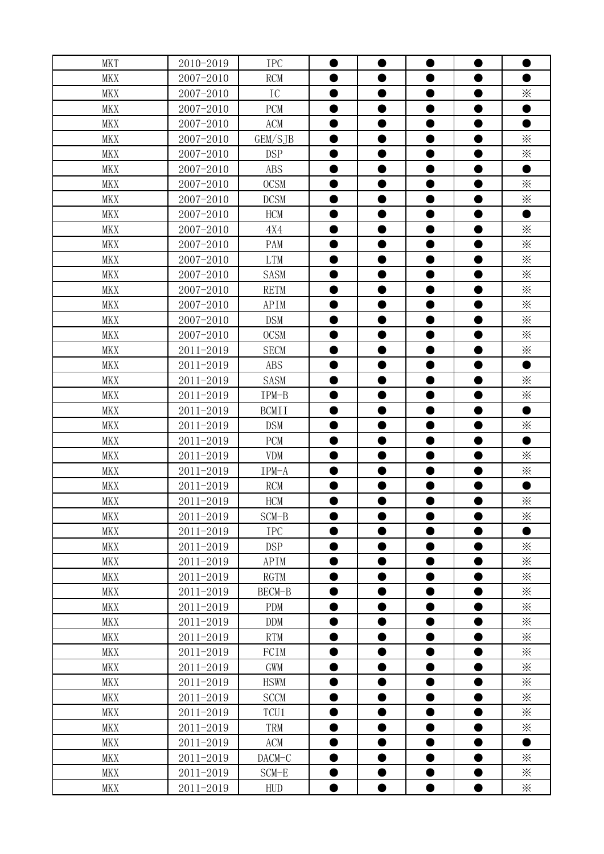| <b>MKT</b> | 2010-2019 | <b>IPC</b>   |           |           | D         |                   |
|------------|-----------|--------------|-----------|-----------|-----------|-------------------|
| <b>MKX</b> | 2007-2010 | <b>RCM</b>   |           |           |           |                   |
| <b>MKX</b> | 2007-2010 | IC           | $\bullet$ | ●         |           | $\times$          |
| <b>MKX</b> | 2007-2010 | PCM          | D         | D         | D         |                   |
| <b>MKX</b> | 2007-2010 | ACM          | $\bullet$ | $\bullet$ | D         |                   |
| <b>MKX</b> | 2007-2010 | GEM/SJB      | $\bullet$ | $\bullet$ | D         | $\times$          |
| <b>MKX</b> | 2007-2010 | <b>DSP</b>   | $\bullet$ | $\bullet$ | D         | $\times$          |
| <b>MKX</b> | 2007-2010 | <b>ABS</b>   |           |           |           |                   |
| <b>MKX</b> | 2007-2010 | <b>OCSM</b>  | $\bullet$ | $\bullet$ | D         | $\times$          |
| <b>MKX</b> | 2007-2010 | <b>DCSM</b>  | $\bullet$ | $\bullet$ |           | $\times$          |
| <b>MKX</b> | 2007-2010 | <b>HCM</b>   |           | $\bullet$ |           |                   |
| <b>MKX</b> | 2007-2010 | 4X4          |           |           |           | $\times$          |
| <b>MKX</b> | 2007-2010 | PAM          |           |           |           | $\times$          |
| <b>MKX</b> | 2007-2010 | <b>LTM</b>   |           |           |           | $\times$          |
| <b>MKX</b> | 2007-2010 | <b>SASM</b>  |           | ●         |           | $\times$          |
| <b>MKX</b> | 2007-2010 | <b>RETM</b>  |           |           |           | ፠                 |
| <b>MKX</b> | 2007-2010 | APIM         |           | ●         |           | $\times$          |
| <b>MKX</b> | 2007-2010 | <b>DSM</b>   | ●         | $\bullet$ |           | ⋇                 |
| <b>MKX</b> | 2007-2010 | <b>OCSM</b>  |           | $\bullet$ | D         | ⋇                 |
| <b>MKX</b> | 2011-2019 | <b>SECM</b>  |           | ●         |           | $\times$          |
| <b>MKX</b> | 2011-2019 | <b>ABS</b>   |           |           |           |                   |
| <b>MKX</b> | 2011-2019 | <b>SASM</b>  | ●         | $\bullet$ | ●         | $\times$          |
| <b>MKX</b> | 2011-2019 | IPM-B        | 0         | $\bullet$ | D         | $\times$          |
| <b>MKX</b> | 2011-2019 | <b>BCMII</b> | $\bullet$ | $\bullet$ | $\bullet$ | $\bullet$         |
| <b>MKX</b> | 2011-2019 | <b>DSM</b>   |           | $\bullet$ |           | $\times$          |
| <b>MKX</b> | 2011-2019 | PCM          | $\bullet$ | $\bullet$ | $\bullet$ | $\bullet$         |
| <b>MKX</b> | 2011-2019 | <b>VDM</b>   |           | D         |           | $\times$          |
| <b>MKX</b> | 2011-2019 | IPM-A        |           |           |           | $\times$          |
| <b>MKX</b> | 2011-2019 | <b>RCM</b>   |           | D         |           |                   |
| <b>MKX</b> | 2011-2019 | <b>HCM</b>   | 0         | $\bullet$ | ●         | ⋇                 |
| <b>MKX</b> | 2011-2019 | SCM-B        |           |           |           | ፠                 |
| MKX        | 2011-2019 | <b>IPC</b>   | $\bullet$ | $\bullet$ | D         |                   |
| MKX        | 2011-2019 | <b>DSP</b>   | $\bullet$ | $\bullet$ |           | $\mathbb{\times}$ |
| <b>MKX</b> | 2011-2019 | APIM         | $\bullet$ | $\bullet$ | D         | $\times$          |
| MKX        | 2011-2019 | <b>RGTM</b>  | ●         | ●         |           | ⋇                 |
| MKX        | 2011-2019 | BECM-B       | $\bullet$ | $\bullet$ | D         | $\times$          |
| MKX        | 2011-2019 | <b>PDM</b>   | $\bullet$ | $\bullet$ | D         | $\times$          |
| <b>MKX</b> | 2011-2019 | <b>DDM</b>   | $\bullet$ | $\bullet$ | D         | $\times$          |
| MKX        | 2011-2019 | <b>RTM</b>   |           | $\bullet$ |           | $\ddot{\times}$   |
| <b>MKX</b> | 2011-2019 | FCIM         |           |           |           | $\times$          |
| MKX        | 2011-2019 | GWM          |           |           |           | $\times$          |
| MKX        | 2011-2019 | <b>HSWM</b>  |           | ●         |           | $\times$          |
| <b>MKX</b> | 2011-2019 | <b>SCCM</b>  |           | ●         |           | $\times$          |
| <b>MKX</b> | 2011-2019 | TCU1         |           |           |           | $\times$          |
| MKX        | 2011-2019 | TRM          |           | ●         |           | $\times$          |
| <b>MKX</b> | 2011-2019 | ACM          |           | ●         |           |                   |
| <b>MKX</b> | 2011-2019 | DACM-C       |           | ●         |           | ⋇                 |
| MKX        | 2011-2019 | SCM-E        |           | $\bullet$ | O         | ፠                 |
| MKX        | 2011-2019 | HUD          | $\bullet$ | $\bullet$ | $\bullet$ | $\ddot{\times}$   |
|            |           |              |           |           |           |                   |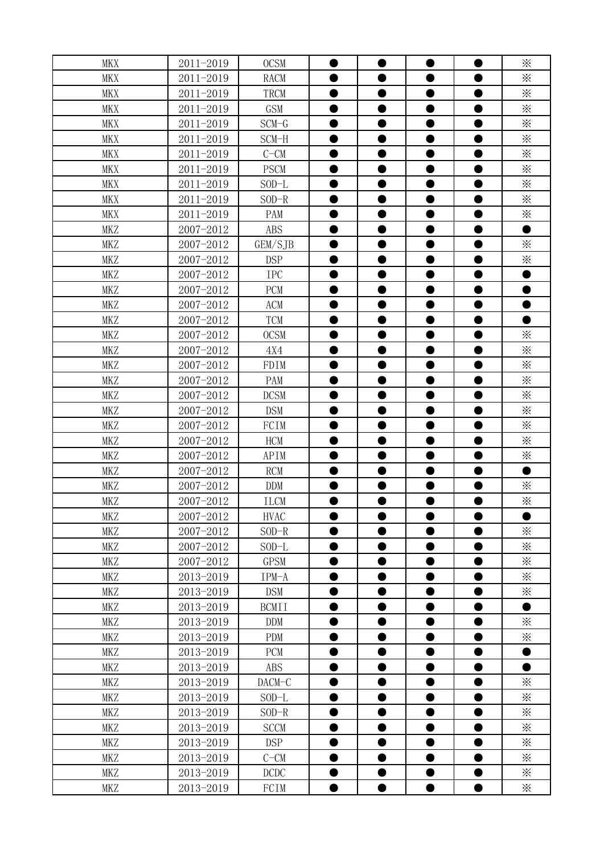| <b>MKX</b><br>D<br>●<br>$\times$<br>2011-2019<br><b>MKX</b><br><b>RACM</b><br>$\times$<br>2011-2019<br><b>MKX</b><br>TRCM<br>D<br>$\times$<br>2011-2019<br><b>MKX</b><br>GSM<br>D<br>$\times$<br><b>MKX</b><br>2011-2019<br>$SCM-G$<br>$\bullet$<br>D<br>$\times$<br>2011-2019<br><b>MKX</b><br>SCM-H<br>$\bullet$<br>$\bullet$<br>2011-2019<br>$\times$<br><b>MKX</b><br>$C-CM$<br>0<br>$\bullet$<br>O<br>$\times$<br>2011-2019<br><b>PSCM</b><br><b>MKX</b><br>$\times$<br><b>MKX</b><br>2011-2019<br>$SOD-L$<br>$\bullet$<br>D<br>$\times$<br>2011-2019<br><b>MKX</b><br>$SOD-R$<br>$\bullet$<br>●<br>$\times$<br>2011-2019<br><b>MKX</b><br>PAM<br>0<br>2007-2012<br><b>ABS</b><br>MKZ<br>2007-2012<br>$\times$<br><b>MKZ</b><br>GEM/SJB<br>$\times$<br>2007-2012<br><b>DSP</b><br><b>MKZ</b><br><b>MKZ</b><br>2007-2012<br><b>IPC</b><br>2007-2012<br><b>MKZ</b><br>PCM<br>2007-2012<br>ACM<br><b>MKZ</b><br>0<br>2007-2012<br><b>TCM</b><br><b>MKZ</b><br>$\bullet$<br>$\times$<br><b>OCSM</b><br>●<br><b>MKZ</b><br>2007-2012<br>●<br>$\times$<br>2007-2012<br><b>MKZ</b><br>4X4<br>●<br>●<br>$\times$<br>2007-2012<br><b>MKZ</b><br>FDIM<br>$\times$<br>MKZ<br>2007-2012<br>PAM<br>$\bullet$<br>●<br>$\times$<br>2007-2012<br><b>DCSM</b><br>$\bullet$<br><b>MKZ</b><br>●<br>$\times$<br>2007-2012<br><b>DSM</b><br>MKZ<br>$\bullet$<br>●<br>$\bullet$<br>$\times$<br>2007-2012<br><b>MKZ</b><br>FCIM<br>0<br>$\bullet$<br>$\times$<br><b>MKZ</b><br>2007-2012<br>HCM<br>$\bullet$<br>O<br>0<br>$\times$<br>2007-2012<br><b>MKZ</b><br>APIM<br>D<br>$\bullet$<br><b>MKZ</b><br>2007-2012<br><b>RCM</b><br>2007-2012<br>$\times$<br><b>MKZ</b><br><b>DDM</b><br>D<br>$\times$<br><b>MKZ</b><br>2007-2012<br><b>ILCM</b><br>0<br>0<br>2007-2012<br><b>MKZ</b><br><b>HVAC</b><br>MKZ<br>2007-2012<br>$\times$<br>$SOD-R$<br>●<br>$\bullet$<br>D<br>$\times$<br>2007-2012<br>MKZ<br>$SOD-L$<br>0<br>D<br>$\times$<br>2007-2012<br><b>GPSM</b><br>MKZ<br>$\bullet$<br>$\bullet$<br>●<br>$\times$<br>MKZ<br>2013-2019<br>IPM-A<br>D<br>$\times$<br>MKZ<br>2013-2019<br>DSM<br>D<br>MKZ<br>2013-2019<br><b>BCMII</b><br>$\bullet$<br>D<br>$\times$<br>MKZ<br>2013-2019<br><b>DDM</b><br>$\bullet$<br>$\times$<br>MKZ<br>2013-2019<br>PDM<br>MKZ<br>2013-2019<br><b>PCM</b><br>MKZ<br>2013-2019<br>ABS<br>$\times$<br>MKZ<br>2013-2019<br>DACM-C<br>$\ddot{\times}$<br>●<br>MKZ<br>2013-2019<br>$SOD-L$<br>$\times$<br>MKZ<br>2013-2019<br>$SOD-R$<br>$\times$<br>2013-2019<br>MKZ<br><b>SCCM</b><br>D<br>$\times$<br>2013-2019<br><b>DSP</b><br>MKZ<br>●<br>$\times$<br>2013-2019<br>$C-CM$<br>●<br>MKZ<br>2013-2019<br><b>DCDC</b><br>$\ddot{\times}$<br>MKZ<br>$\bullet$<br>œ |     |           |             |  |  |                 |
|----------------------------------------------------------------------------------------------------------------------------------------------------------------------------------------------------------------------------------------------------------------------------------------------------------------------------------------------------------------------------------------------------------------------------------------------------------------------------------------------------------------------------------------------------------------------------------------------------------------------------------------------------------------------------------------------------------------------------------------------------------------------------------------------------------------------------------------------------------------------------------------------------------------------------------------------------------------------------------------------------------------------------------------------------------------------------------------------------------------------------------------------------------------------------------------------------------------------------------------------------------------------------------------------------------------------------------------------------------------------------------------------------------------------------------------------------------------------------------------------------------------------------------------------------------------------------------------------------------------------------------------------------------------------------------------------------------------------------------------------------------------------------------------------------------------------------------------------------------------------------------------------------------------------------------------------------------------------------------------------------------------------------------------------------------------------------------------------------------------------------------------------------------------------------------------------------------------------------------------------------------------------------------------------------------------------------------------------------------------------------------------------------------------------------------------------------------------------------------------------------------------------------------------------------------------------------------------------------------------------------------------------------------------------------------|-----|-----------|-------------|--|--|-----------------|
|                                                                                                                                                                                                                                                                                                                                                                                                                                                                                                                                                                                                                                                                                                                                                                                                                                                                                                                                                                                                                                                                                                                                                                                                                                                                                                                                                                                                                                                                                                                                                                                                                                                                                                                                                                                                                                                                                                                                                                                                                                                                                                                                                                                                                                                                                                                                                                                                                                                                                                                                                                                                                                                                                  |     | 2011-2019 | <b>OCSM</b> |  |  | $\times$        |
|                                                                                                                                                                                                                                                                                                                                                                                                                                                                                                                                                                                                                                                                                                                                                                                                                                                                                                                                                                                                                                                                                                                                                                                                                                                                                                                                                                                                                                                                                                                                                                                                                                                                                                                                                                                                                                                                                                                                                                                                                                                                                                                                                                                                                                                                                                                                                                                                                                                                                                                                                                                                                                                                                  |     |           |             |  |  |                 |
|                                                                                                                                                                                                                                                                                                                                                                                                                                                                                                                                                                                                                                                                                                                                                                                                                                                                                                                                                                                                                                                                                                                                                                                                                                                                                                                                                                                                                                                                                                                                                                                                                                                                                                                                                                                                                                                                                                                                                                                                                                                                                                                                                                                                                                                                                                                                                                                                                                                                                                                                                                                                                                                                                  |     |           |             |  |  |                 |
|                                                                                                                                                                                                                                                                                                                                                                                                                                                                                                                                                                                                                                                                                                                                                                                                                                                                                                                                                                                                                                                                                                                                                                                                                                                                                                                                                                                                                                                                                                                                                                                                                                                                                                                                                                                                                                                                                                                                                                                                                                                                                                                                                                                                                                                                                                                                                                                                                                                                                                                                                                                                                                                                                  |     |           |             |  |  |                 |
|                                                                                                                                                                                                                                                                                                                                                                                                                                                                                                                                                                                                                                                                                                                                                                                                                                                                                                                                                                                                                                                                                                                                                                                                                                                                                                                                                                                                                                                                                                                                                                                                                                                                                                                                                                                                                                                                                                                                                                                                                                                                                                                                                                                                                                                                                                                                                                                                                                                                                                                                                                                                                                                                                  |     |           |             |  |  |                 |
|                                                                                                                                                                                                                                                                                                                                                                                                                                                                                                                                                                                                                                                                                                                                                                                                                                                                                                                                                                                                                                                                                                                                                                                                                                                                                                                                                                                                                                                                                                                                                                                                                                                                                                                                                                                                                                                                                                                                                                                                                                                                                                                                                                                                                                                                                                                                                                                                                                                                                                                                                                                                                                                                                  |     |           |             |  |  |                 |
|                                                                                                                                                                                                                                                                                                                                                                                                                                                                                                                                                                                                                                                                                                                                                                                                                                                                                                                                                                                                                                                                                                                                                                                                                                                                                                                                                                                                                                                                                                                                                                                                                                                                                                                                                                                                                                                                                                                                                                                                                                                                                                                                                                                                                                                                                                                                                                                                                                                                                                                                                                                                                                                                                  |     |           |             |  |  |                 |
|                                                                                                                                                                                                                                                                                                                                                                                                                                                                                                                                                                                                                                                                                                                                                                                                                                                                                                                                                                                                                                                                                                                                                                                                                                                                                                                                                                                                                                                                                                                                                                                                                                                                                                                                                                                                                                                                                                                                                                                                                                                                                                                                                                                                                                                                                                                                                                                                                                                                                                                                                                                                                                                                                  |     |           |             |  |  |                 |
|                                                                                                                                                                                                                                                                                                                                                                                                                                                                                                                                                                                                                                                                                                                                                                                                                                                                                                                                                                                                                                                                                                                                                                                                                                                                                                                                                                                                                                                                                                                                                                                                                                                                                                                                                                                                                                                                                                                                                                                                                                                                                                                                                                                                                                                                                                                                                                                                                                                                                                                                                                                                                                                                                  |     |           |             |  |  |                 |
|                                                                                                                                                                                                                                                                                                                                                                                                                                                                                                                                                                                                                                                                                                                                                                                                                                                                                                                                                                                                                                                                                                                                                                                                                                                                                                                                                                                                                                                                                                                                                                                                                                                                                                                                                                                                                                                                                                                                                                                                                                                                                                                                                                                                                                                                                                                                                                                                                                                                                                                                                                                                                                                                                  |     |           |             |  |  |                 |
|                                                                                                                                                                                                                                                                                                                                                                                                                                                                                                                                                                                                                                                                                                                                                                                                                                                                                                                                                                                                                                                                                                                                                                                                                                                                                                                                                                                                                                                                                                                                                                                                                                                                                                                                                                                                                                                                                                                                                                                                                                                                                                                                                                                                                                                                                                                                                                                                                                                                                                                                                                                                                                                                                  |     |           |             |  |  |                 |
|                                                                                                                                                                                                                                                                                                                                                                                                                                                                                                                                                                                                                                                                                                                                                                                                                                                                                                                                                                                                                                                                                                                                                                                                                                                                                                                                                                                                                                                                                                                                                                                                                                                                                                                                                                                                                                                                                                                                                                                                                                                                                                                                                                                                                                                                                                                                                                                                                                                                                                                                                                                                                                                                                  |     |           |             |  |  |                 |
|                                                                                                                                                                                                                                                                                                                                                                                                                                                                                                                                                                                                                                                                                                                                                                                                                                                                                                                                                                                                                                                                                                                                                                                                                                                                                                                                                                                                                                                                                                                                                                                                                                                                                                                                                                                                                                                                                                                                                                                                                                                                                                                                                                                                                                                                                                                                                                                                                                                                                                                                                                                                                                                                                  |     |           |             |  |  |                 |
|                                                                                                                                                                                                                                                                                                                                                                                                                                                                                                                                                                                                                                                                                                                                                                                                                                                                                                                                                                                                                                                                                                                                                                                                                                                                                                                                                                                                                                                                                                                                                                                                                                                                                                                                                                                                                                                                                                                                                                                                                                                                                                                                                                                                                                                                                                                                                                                                                                                                                                                                                                                                                                                                                  |     |           |             |  |  |                 |
|                                                                                                                                                                                                                                                                                                                                                                                                                                                                                                                                                                                                                                                                                                                                                                                                                                                                                                                                                                                                                                                                                                                                                                                                                                                                                                                                                                                                                                                                                                                                                                                                                                                                                                                                                                                                                                                                                                                                                                                                                                                                                                                                                                                                                                                                                                                                                                                                                                                                                                                                                                                                                                                                                  |     |           |             |  |  |                 |
|                                                                                                                                                                                                                                                                                                                                                                                                                                                                                                                                                                                                                                                                                                                                                                                                                                                                                                                                                                                                                                                                                                                                                                                                                                                                                                                                                                                                                                                                                                                                                                                                                                                                                                                                                                                                                                                                                                                                                                                                                                                                                                                                                                                                                                                                                                                                                                                                                                                                                                                                                                                                                                                                                  |     |           |             |  |  |                 |
|                                                                                                                                                                                                                                                                                                                                                                                                                                                                                                                                                                                                                                                                                                                                                                                                                                                                                                                                                                                                                                                                                                                                                                                                                                                                                                                                                                                                                                                                                                                                                                                                                                                                                                                                                                                                                                                                                                                                                                                                                                                                                                                                                                                                                                                                                                                                                                                                                                                                                                                                                                                                                                                                                  |     |           |             |  |  |                 |
|                                                                                                                                                                                                                                                                                                                                                                                                                                                                                                                                                                                                                                                                                                                                                                                                                                                                                                                                                                                                                                                                                                                                                                                                                                                                                                                                                                                                                                                                                                                                                                                                                                                                                                                                                                                                                                                                                                                                                                                                                                                                                                                                                                                                                                                                                                                                                                                                                                                                                                                                                                                                                                                                                  |     |           |             |  |  |                 |
|                                                                                                                                                                                                                                                                                                                                                                                                                                                                                                                                                                                                                                                                                                                                                                                                                                                                                                                                                                                                                                                                                                                                                                                                                                                                                                                                                                                                                                                                                                                                                                                                                                                                                                                                                                                                                                                                                                                                                                                                                                                                                                                                                                                                                                                                                                                                                                                                                                                                                                                                                                                                                                                                                  |     |           |             |  |  |                 |
|                                                                                                                                                                                                                                                                                                                                                                                                                                                                                                                                                                                                                                                                                                                                                                                                                                                                                                                                                                                                                                                                                                                                                                                                                                                                                                                                                                                                                                                                                                                                                                                                                                                                                                                                                                                                                                                                                                                                                                                                                                                                                                                                                                                                                                                                                                                                                                                                                                                                                                                                                                                                                                                                                  |     |           |             |  |  |                 |
|                                                                                                                                                                                                                                                                                                                                                                                                                                                                                                                                                                                                                                                                                                                                                                                                                                                                                                                                                                                                                                                                                                                                                                                                                                                                                                                                                                                                                                                                                                                                                                                                                                                                                                                                                                                                                                                                                                                                                                                                                                                                                                                                                                                                                                                                                                                                                                                                                                                                                                                                                                                                                                                                                  |     |           |             |  |  |                 |
|                                                                                                                                                                                                                                                                                                                                                                                                                                                                                                                                                                                                                                                                                                                                                                                                                                                                                                                                                                                                                                                                                                                                                                                                                                                                                                                                                                                                                                                                                                                                                                                                                                                                                                                                                                                                                                                                                                                                                                                                                                                                                                                                                                                                                                                                                                                                                                                                                                                                                                                                                                                                                                                                                  |     |           |             |  |  |                 |
|                                                                                                                                                                                                                                                                                                                                                                                                                                                                                                                                                                                                                                                                                                                                                                                                                                                                                                                                                                                                                                                                                                                                                                                                                                                                                                                                                                                                                                                                                                                                                                                                                                                                                                                                                                                                                                                                                                                                                                                                                                                                                                                                                                                                                                                                                                                                                                                                                                                                                                                                                                                                                                                                                  |     |           |             |  |  |                 |
|                                                                                                                                                                                                                                                                                                                                                                                                                                                                                                                                                                                                                                                                                                                                                                                                                                                                                                                                                                                                                                                                                                                                                                                                                                                                                                                                                                                                                                                                                                                                                                                                                                                                                                                                                                                                                                                                                                                                                                                                                                                                                                                                                                                                                                                                                                                                                                                                                                                                                                                                                                                                                                                                                  |     |           |             |  |  |                 |
|                                                                                                                                                                                                                                                                                                                                                                                                                                                                                                                                                                                                                                                                                                                                                                                                                                                                                                                                                                                                                                                                                                                                                                                                                                                                                                                                                                                                                                                                                                                                                                                                                                                                                                                                                                                                                                                                                                                                                                                                                                                                                                                                                                                                                                                                                                                                                                                                                                                                                                                                                                                                                                                                                  |     |           |             |  |  |                 |
|                                                                                                                                                                                                                                                                                                                                                                                                                                                                                                                                                                                                                                                                                                                                                                                                                                                                                                                                                                                                                                                                                                                                                                                                                                                                                                                                                                                                                                                                                                                                                                                                                                                                                                                                                                                                                                                                                                                                                                                                                                                                                                                                                                                                                                                                                                                                                                                                                                                                                                                                                                                                                                                                                  |     |           |             |  |  |                 |
|                                                                                                                                                                                                                                                                                                                                                                                                                                                                                                                                                                                                                                                                                                                                                                                                                                                                                                                                                                                                                                                                                                                                                                                                                                                                                                                                                                                                                                                                                                                                                                                                                                                                                                                                                                                                                                                                                                                                                                                                                                                                                                                                                                                                                                                                                                                                                                                                                                                                                                                                                                                                                                                                                  |     |           |             |  |  |                 |
|                                                                                                                                                                                                                                                                                                                                                                                                                                                                                                                                                                                                                                                                                                                                                                                                                                                                                                                                                                                                                                                                                                                                                                                                                                                                                                                                                                                                                                                                                                                                                                                                                                                                                                                                                                                                                                                                                                                                                                                                                                                                                                                                                                                                                                                                                                                                                                                                                                                                                                                                                                                                                                                                                  |     |           |             |  |  |                 |
|                                                                                                                                                                                                                                                                                                                                                                                                                                                                                                                                                                                                                                                                                                                                                                                                                                                                                                                                                                                                                                                                                                                                                                                                                                                                                                                                                                                                                                                                                                                                                                                                                                                                                                                                                                                                                                                                                                                                                                                                                                                                                                                                                                                                                                                                                                                                                                                                                                                                                                                                                                                                                                                                                  |     |           |             |  |  |                 |
|                                                                                                                                                                                                                                                                                                                                                                                                                                                                                                                                                                                                                                                                                                                                                                                                                                                                                                                                                                                                                                                                                                                                                                                                                                                                                                                                                                                                                                                                                                                                                                                                                                                                                                                                                                                                                                                                                                                                                                                                                                                                                                                                                                                                                                                                                                                                                                                                                                                                                                                                                                                                                                                                                  |     |           |             |  |  |                 |
|                                                                                                                                                                                                                                                                                                                                                                                                                                                                                                                                                                                                                                                                                                                                                                                                                                                                                                                                                                                                                                                                                                                                                                                                                                                                                                                                                                                                                                                                                                                                                                                                                                                                                                                                                                                                                                                                                                                                                                                                                                                                                                                                                                                                                                                                                                                                                                                                                                                                                                                                                                                                                                                                                  |     |           |             |  |  |                 |
|                                                                                                                                                                                                                                                                                                                                                                                                                                                                                                                                                                                                                                                                                                                                                                                                                                                                                                                                                                                                                                                                                                                                                                                                                                                                                                                                                                                                                                                                                                                                                                                                                                                                                                                                                                                                                                                                                                                                                                                                                                                                                                                                                                                                                                                                                                                                                                                                                                                                                                                                                                                                                                                                                  |     |           |             |  |  |                 |
|                                                                                                                                                                                                                                                                                                                                                                                                                                                                                                                                                                                                                                                                                                                                                                                                                                                                                                                                                                                                                                                                                                                                                                                                                                                                                                                                                                                                                                                                                                                                                                                                                                                                                                                                                                                                                                                                                                                                                                                                                                                                                                                                                                                                                                                                                                                                                                                                                                                                                                                                                                                                                                                                                  |     |           |             |  |  |                 |
|                                                                                                                                                                                                                                                                                                                                                                                                                                                                                                                                                                                                                                                                                                                                                                                                                                                                                                                                                                                                                                                                                                                                                                                                                                                                                                                                                                                                                                                                                                                                                                                                                                                                                                                                                                                                                                                                                                                                                                                                                                                                                                                                                                                                                                                                                                                                                                                                                                                                                                                                                                                                                                                                                  |     |           |             |  |  |                 |
|                                                                                                                                                                                                                                                                                                                                                                                                                                                                                                                                                                                                                                                                                                                                                                                                                                                                                                                                                                                                                                                                                                                                                                                                                                                                                                                                                                                                                                                                                                                                                                                                                                                                                                                                                                                                                                                                                                                                                                                                                                                                                                                                                                                                                                                                                                                                                                                                                                                                                                                                                                                                                                                                                  |     |           |             |  |  |                 |
|                                                                                                                                                                                                                                                                                                                                                                                                                                                                                                                                                                                                                                                                                                                                                                                                                                                                                                                                                                                                                                                                                                                                                                                                                                                                                                                                                                                                                                                                                                                                                                                                                                                                                                                                                                                                                                                                                                                                                                                                                                                                                                                                                                                                                                                                                                                                                                                                                                                                                                                                                                                                                                                                                  |     |           |             |  |  |                 |
|                                                                                                                                                                                                                                                                                                                                                                                                                                                                                                                                                                                                                                                                                                                                                                                                                                                                                                                                                                                                                                                                                                                                                                                                                                                                                                                                                                                                                                                                                                                                                                                                                                                                                                                                                                                                                                                                                                                                                                                                                                                                                                                                                                                                                                                                                                                                                                                                                                                                                                                                                                                                                                                                                  |     |           |             |  |  |                 |
|                                                                                                                                                                                                                                                                                                                                                                                                                                                                                                                                                                                                                                                                                                                                                                                                                                                                                                                                                                                                                                                                                                                                                                                                                                                                                                                                                                                                                                                                                                                                                                                                                                                                                                                                                                                                                                                                                                                                                                                                                                                                                                                                                                                                                                                                                                                                                                                                                                                                                                                                                                                                                                                                                  |     |           |             |  |  |                 |
|                                                                                                                                                                                                                                                                                                                                                                                                                                                                                                                                                                                                                                                                                                                                                                                                                                                                                                                                                                                                                                                                                                                                                                                                                                                                                                                                                                                                                                                                                                                                                                                                                                                                                                                                                                                                                                                                                                                                                                                                                                                                                                                                                                                                                                                                                                                                                                                                                                                                                                                                                                                                                                                                                  |     |           |             |  |  |                 |
|                                                                                                                                                                                                                                                                                                                                                                                                                                                                                                                                                                                                                                                                                                                                                                                                                                                                                                                                                                                                                                                                                                                                                                                                                                                                                                                                                                                                                                                                                                                                                                                                                                                                                                                                                                                                                                                                                                                                                                                                                                                                                                                                                                                                                                                                                                                                                                                                                                                                                                                                                                                                                                                                                  |     |           |             |  |  |                 |
|                                                                                                                                                                                                                                                                                                                                                                                                                                                                                                                                                                                                                                                                                                                                                                                                                                                                                                                                                                                                                                                                                                                                                                                                                                                                                                                                                                                                                                                                                                                                                                                                                                                                                                                                                                                                                                                                                                                                                                                                                                                                                                                                                                                                                                                                                                                                                                                                                                                                                                                                                                                                                                                                                  |     |           |             |  |  |                 |
|                                                                                                                                                                                                                                                                                                                                                                                                                                                                                                                                                                                                                                                                                                                                                                                                                                                                                                                                                                                                                                                                                                                                                                                                                                                                                                                                                                                                                                                                                                                                                                                                                                                                                                                                                                                                                                                                                                                                                                                                                                                                                                                                                                                                                                                                                                                                                                                                                                                                                                                                                                                                                                                                                  |     |           |             |  |  |                 |
|                                                                                                                                                                                                                                                                                                                                                                                                                                                                                                                                                                                                                                                                                                                                                                                                                                                                                                                                                                                                                                                                                                                                                                                                                                                                                                                                                                                                                                                                                                                                                                                                                                                                                                                                                                                                                                                                                                                                                                                                                                                                                                                                                                                                                                                                                                                                                                                                                                                                                                                                                                                                                                                                                  |     |           |             |  |  |                 |
|                                                                                                                                                                                                                                                                                                                                                                                                                                                                                                                                                                                                                                                                                                                                                                                                                                                                                                                                                                                                                                                                                                                                                                                                                                                                                                                                                                                                                                                                                                                                                                                                                                                                                                                                                                                                                                                                                                                                                                                                                                                                                                                                                                                                                                                                                                                                                                                                                                                                                                                                                                                                                                                                                  |     |           |             |  |  |                 |
|                                                                                                                                                                                                                                                                                                                                                                                                                                                                                                                                                                                                                                                                                                                                                                                                                                                                                                                                                                                                                                                                                                                                                                                                                                                                                                                                                                                                                                                                                                                                                                                                                                                                                                                                                                                                                                                                                                                                                                                                                                                                                                                                                                                                                                                                                                                                                                                                                                                                                                                                                                                                                                                                                  |     |           |             |  |  |                 |
|                                                                                                                                                                                                                                                                                                                                                                                                                                                                                                                                                                                                                                                                                                                                                                                                                                                                                                                                                                                                                                                                                                                                                                                                                                                                                                                                                                                                                                                                                                                                                                                                                                                                                                                                                                                                                                                                                                                                                                                                                                                                                                                                                                                                                                                                                                                                                                                                                                                                                                                                                                                                                                                                                  |     |           |             |  |  |                 |
|                                                                                                                                                                                                                                                                                                                                                                                                                                                                                                                                                                                                                                                                                                                                                                                                                                                                                                                                                                                                                                                                                                                                                                                                                                                                                                                                                                                                                                                                                                                                                                                                                                                                                                                                                                                                                                                                                                                                                                                                                                                                                                                                                                                                                                                                                                                                                                                                                                                                                                                                                                                                                                                                                  |     |           |             |  |  |                 |
|                                                                                                                                                                                                                                                                                                                                                                                                                                                                                                                                                                                                                                                                                                                                                                                                                                                                                                                                                                                                                                                                                                                                                                                                                                                                                                                                                                                                                                                                                                                                                                                                                                                                                                                                                                                                                                                                                                                                                                                                                                                                                                                                                                                                                                                                                                                                                                                                                                                                                                                                                                                                                                                                                  |     |           |             |  |  |                 |
| $\bullet$<br>$\bullet$                                                                                                                                                                                                                                                                                                                                                                                                                                                                                                                                                                                                                                                                                                                                                                                                                                                                                                                                                                                                                                                                                                                                                                                                                                                                                                                                                                                                                                                                                                                                                                                                                                                                                                                                                                                                                                                                                                                                                                                                                                                                                                                                                                                                                                                                                                                                                                                                                                                                                                                                                                                                                                                           | MKZ | 2013-2019 | FCIM        |  |  | $\ddot{\times}$ |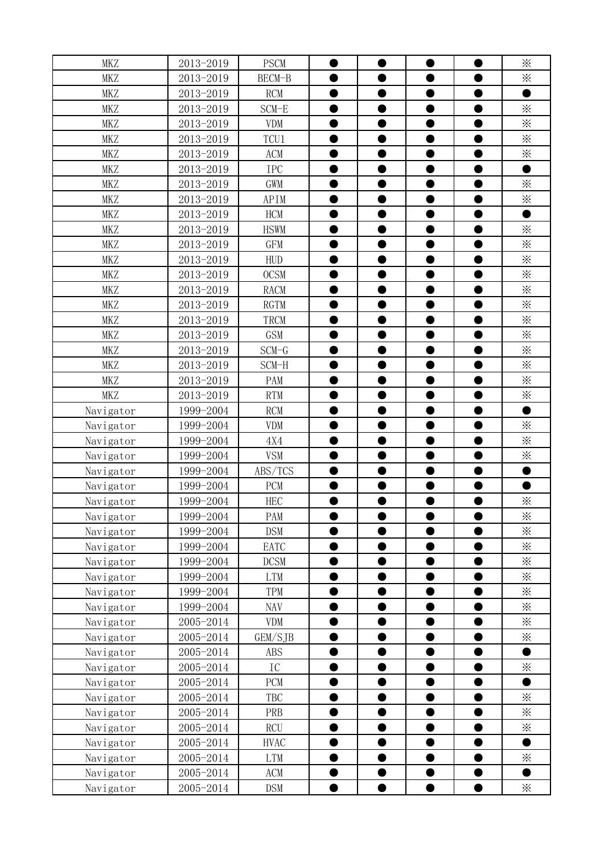| <b>MKZ</b> | 2013-2019 | <b>PSCM</b> |           |           |           | $\times$        |
|------------|-----------|-------------|-----------|-----------|-----------|-----------------|
| <b>MKZ</b> | 2013-2019 | BECM-B      |           |           |           | $\times$        |
| <b>MKZ</b> | 2013-2019 | <b>RCM</b>  |           | D         |           |                 |
| <b>MKZ</b> | 2013-2019 | $SCM-E$     |           | D         |           | $\times$        |
| <b>MKZ</b> | 2013-2019 | <b>VDM</b>  | 0         | $\bullet$ | D         | $\times$        |
| <b>MKZ</b> | 2013-2019 | TCU1        | ●         | $\bullet$ |           | $\times$        |
| <b>MKZ</b> | 2013-2019 | ACM         | $\bullet$ | $\bullet$ | O         | $\times$        |
| <b>MKZ</b> | 2013-2019 | <b>IPC</b>  |           |           |           |                 |
| <b>MKZ</b> | 2013-2019 | <b>GWM</b>  |           | $\bullet$ |           | $\times$        |
| <b>MKZ</b> | 2013-2019 | APIM        |           | D         |           | $\times$        |
| <b>MKZ</b> | 2013-2019 | <b>HCM</b>  |           |           |           |                 |
| MKZ        | 2013-2019 | <b>HSWM</b> |           |           |           | $\times$        |
| <b>MKZ</b> | 2013-2019 | <b>GFM</b>  |           |           |           | $\times$        |
| <b>MKZ</b> | 2013-2019 | <b>HUD</b>  |           |           |           | $\times$        |
| <b>MKZ</b> | 2013-2019 | <b>OCSM</b> |           |           |           | $\times$        |
| <b>MKZ</b> | 2013-2019 | <b>RACM</b> |           |           |           | $\ddot{\times}$ |
| <b>MKZ</b> | 2013-2019 | <b>RGTM</b> |           |           |           | $\times$        |
| <b>MKZ</b> | 2013-2019 | TRCM        |           | $\bullet$ |           | $\times$        |
| <b>MKZ</b> | 2013-2019 | <b>GSM</b>  |           | ●         |           | $\times$        |
| <b>MKZ</b> | 2013-2019 | $SCM-G$     |           |           |           | $\times$        |
| <b>MKZ</b> | 2013-2019 | SCM-H       |           | D         |           | $\times$        |
| <b>MKZ</b> | 2013-2019 | PAM         |           | $\bullet$ | D         | $\times$        |
| <b>MKZ</b> | 2013-2019 | <b>RTM</b>  |           | $\bullet$ |           | $\times$        |
| Navigator  | 1999-2004 | <b>RCM</b>  | ●         | $\bullet$ | ●         | $\bullet$       |
| Navigator  | 1999-2004 | <b>VDM</b>  |           | $\bullet$ |           | $\times$        |
| Navigator  | 1999-2004 | 4X4         | 0         | $\bullet$ | 0         | $\times$        |
| Navigator  | 1999-2004 | <b>VSM</b>  |           |           |           | $\times$        |
| Navigator  | 1999-2004 | ABS/TCS     |           |           |           |                 |
| Navigator  | 1999-2004 | <b>PCM</b>  |           |           |           |                 |
| Navigator  | 1999-2004 | <b>HEC</b>  |           | $\bullet$ | 0         | $\times$        |
| Navigator  | 1999-2004 | PAM         |           |           |           | $\times$        |
| Navigator  | 1999-2004 | <b>DSM</b>  | D         |           |           | $\times$        |
| Navigator  | 1999-2004 | EATC        |           | D         |           | $\times$        |
| Navigator  | 1999-2004 | <b>DCSM</b> | $\bullet$ | 0         |           | $\times$        |
| Navigator  | 1999-2004 | <b>LTM</b>  |           |           |           | $\times$        |
| Navigator  | 1999-2004 | TPM         |           |           |           | $\times$        |
| Navigator  | 1999-2004 | NAV         |           | D         |           | $\times$        |
| Navigator  | 2005-2014 | <b>VDM</b>  |           | $\bullet$ |           | $\times$        |
| Navigator  | 2005-2014 | GEM/SJB     |           |           |           | $\times$        |
| Navigator  | 2005-2014 | <b>ABS</b>  |           |           |           |                 |
| Navigator  | 2005-2014 | ${\rm IC}$  |           |           |           | $\times$        |
| Navigator  | 2005-2014 | <b>PCM</b>  |           |           |           |                 |
| Navigator  | 2005-2014 | TBC         |           |           |           | $\times$        |
| Navigator  | 2005-2014 | PRB         |           |           |           | $\times$        |
| Navigator  | 2005-2014 | <b>RCU</b>  |           |           |           | $\times$        |
| Navigator  | 2005-2014 | <b>HVAC</b> |           | ●         |           |                 |
| Navigator  | 2005-2014 | <b>LTM</b>  |           | ●         | ●         | $\times$        |
| Navigator  | 2005-2014 | ACM         |           |           |           |                 |
| Navigator  | 2005-2014 | <b>DSM</b>  | ●         | $\bullet$ | $\bullet$ | $\times$        |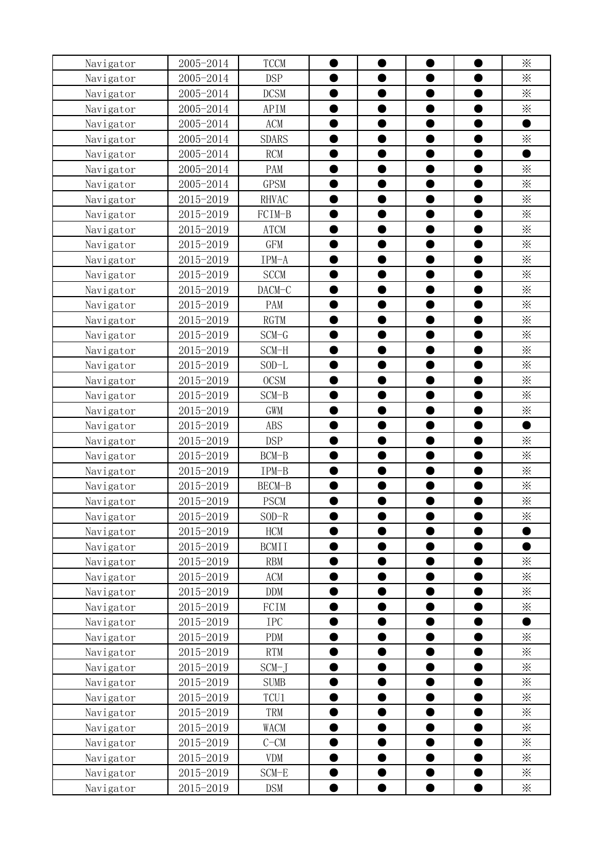|                        | 2005-2014              | <b>TCCM</b>                |   |           |   | $\times$        |
|------------------------|------------------------|----------------------------|---|-----------|---|-----------------|
| Navigator<br>Navigator | 2005-2014              | <b>DSP</b>                 |   |           |   | $\times$        |
| Navigator              | 2005-2014              | <b>DCSM</b>                |   |           |   | $\times$        |
| Navigator              | 2005-2014              | APIM                       |   |           |   | $\times$        |
| Navigator              | 2005-2014              | <b>ACM</b>                 |   | D         |   |                 |
| Navigator              | 2005-2014              | <b>SDARS</b>               |   | D         |   | $\times$        |
| Navigator              | 2005-2014              | <b>RCM</b>                 |   | $\bullet$ |   |                 |
| Navigator              | 2005-2014              | PAM                        |   |           |   | $\times$        |
| Navigator              | 2005-2014              | <b>GPSM</b>                |   |           |   | $\times$        |
| Navigator              | 2015-2019              | <b>RHVAC</b>               |   | 0         |   | $\times$        |
| Navigator              | 2015-2019              | FCIM-B                     |   |           |   | $\times$        |
| Navigator              | 2015-2019              | <b>ATCM</b>                |   |           |   | $\times$        |
| Navigator              | 2015-2019              | <b>GFM</b>                 |   |           |   | $\times$        |
| Navigator              | 2015-2019              | IPM-A                      |   |           |   | $\times$        |
| Navigator              | 2015-2019              | <b>SCCM</b>                |   |           |   | $\times$        |
| Navigator              | 2015-2019              | DACM-C                     |   |           |   | $\ddot{\times}$ |
| Navigator              | 2015-2019              | PAM                        |   |           |   | $\times$        |
| Navigator              | 2015-2019              | <b>RGTM</b>                |   |           |   | $\times$        |
| Navigator              | 2015-2019              | $SCM-G$                    |   | ●         |   | $\times$        |
| Navigator              | 2015-2019              | SCM-H                      |   |           |   | $\times$        |
| Navigator              | 2015-2019              | $SOD-L$                    |   |           |   | $\times$        |
| Navigator              | 2015-2019              | <b>OCSM</b>                |   | ●         |   | $\times$        |
| Navigator              | 2015-2019              | SCM-B                      |   | $\bullet$ |   | $\times$        |
| Navigator              | 2015-2019              | <b>GWM</b>                 |   | $\bullet$ | ● | $\times$        |
| Navigator              | 2015-2019              | <b>ABS</b>                 |   | Ð         |   |                 |
| Navigator              | 2015-2019              | <b>DSP</b>                 |   | D         |   | $\times$        |
| Navigator              | 2015-2019              |                            |   |           |   |                 |
|                        |                        |                            |   |           |   |                 |
|                        |                        | $BCM-B$                    |   |           |   | $\times$        |
| Navigator              | 2015-2019              | IPM-B                      |   |           |   | $\times$        |
| Navigator              | 2015-2019              | BECM-B                     |   |           |   | $\times$        |
| Navigator              | 2015-2019              | <b>PSCM</b>                |   |           |   | ⋇               |
| Navigator              | 2015-2019              | $SOD-R$                    |   |           |   | ፠               |
| Navigator              | 2015-2019              | <b>HCM</b>                 |   |           |   |                 |
| Navigator              | 2015-2019<br>2015-2019 | <b>BCMII</b><br><b>RBM</b> | ● | 0         |   | $\times$        |
| Navigator<br>Navigator | 2015-2019              | ACM                        |   |           |   | $\times$        |
|                        | 2015-2019              | <b>DDM</b>                 |   | $\bullet$ |   | $\times$        |
| Navigator<br>Navigator | 2015-2019              | FCIM                       |   | D         |   | $\times$        |
|                        | 2015-2019              | <b>IPC</b>                 |   | 0         |   |                 |
| Navigator<br>Navigator | 2015-2019              | <b>PDM</b>                 |   |           |   | $\times$        |
| Navigator              | 2015-2019              | <b>RTM</b>                 |   |           |   | $\times$        |
| Navigator              | 2015-2019              | $SCM-J$                    |   |           |   | $\times$        |
| Navigator              | 2015-2019              | <b>SUMB</b>                |   |           |   | $\times$        |
| Navigator              | 2015-2019              | TCU1                       |   |           |   | $\ddot{\times}$ |
| Navigator              | 2015-2019              | TRM                        |   |           |   | $\times$        |
| Navigator              | 2015-2019              | WACM                       |   |           |   | $\times$        |
| Navigator              | 2015-2019              | $C-CM$                     |   | ●         |   | $\times$        |
| Navigator              | 2015-2019              | <b>VDM</b>                 |   | ●         | ● | $\times$        |
| Navigator              | 2015-2019              | SCM-E                      |   |           |   | $\times$        |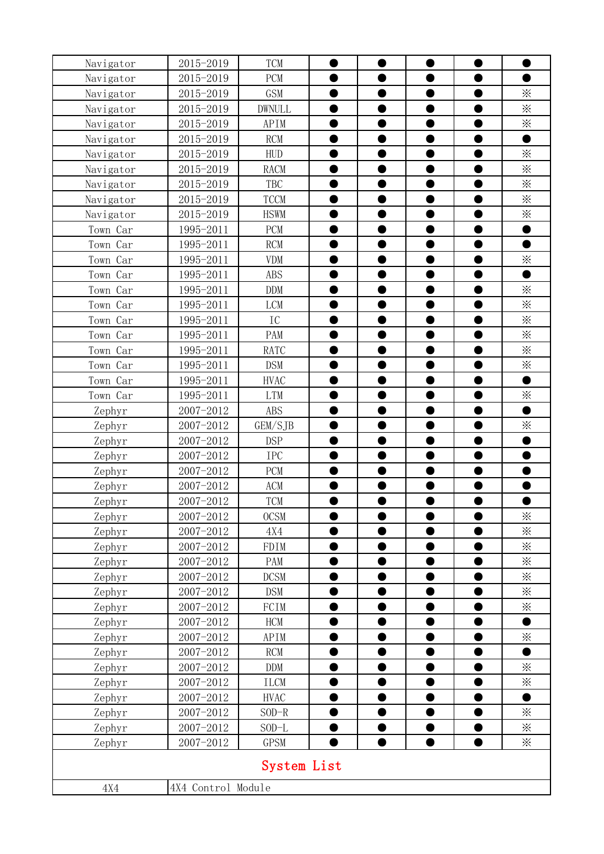| Navigator        | 2015-2019              | <b>TCM</b>    |   |           |           |           |                 |
|------------------|------------------------|---------------|---|-----------|-----------|-----------|-----------------|
| Navigator        | 2015-2019              | PCM           |   |           |           |           |                 |
| Navigator        | 2015-2019              | <b>GSM</b>    |   | ●         |           | $\bullet$ | $\times$        |
| Navigator        | 2015-2019              | <b>DWNULL</b> |   |           |           |           | $\times$        |
| Navigator        | 2015-2019              | APIM          |   | D         |           | 0         | $\times$        |
| Navigator        | 2015-2019              | RCM           |   | D         |           | 0         |                 |
| Navigator        | 2015-2019              | <b>HUD</b>    |   | ●         |           | $\bullet$ | $\times$        |
| Navigator        | 2015-2019              | <b>RACM</b>   |   |           |           |           | $\times$        |
| Navigator        | 2015-2019              | TBC           |   | D         |           | $\bullet$ | $\times$        |
| Navigator        | 2015-2019              | <b>TCCM</b>   |   |           |           |           | $\times$        |
| Navigator        | 2015-2019              | <b>HSWM</b>   |   |           |           |           | $\times$        |
| Town Car         | 1995-2011              | PCM           |   |           |           |           |                 |
| Town Car         | 1995-2011              | <b>RCM</b>    |   |           |           |           |                 |
| Town Car         | 1995-2011              | <b>VDM</b>    |   |           |           |           | $\times$        |
| Town Car         | 1995-2011              | <b>ABS</b>    |   |           |           |           | ●               |
| Town Car         | 1995-2011              | <b>DDM</b>    |   |           |           |           | $\ddot{\times}$ |
| Car<br>Town      | 1995-2011              | <b>LCM</b>    |   |           |           |           | $\times$        |
| Town Car         | 1995-2011              | IC            |   | $\bullet$ |           |           | $\times$        |
| Car<br>Town      | 1995-2011              | PAM           |   | D         |           |           | $\times$        |
| Town Car         | 1995-2011              | RATC          |   |           |           |           | $\times$        |
| Town Car         | 1995-2011              | <b>DSM</b>    |   |           |           |           | $\times$        |
| Town Car         | 1995-2011              | <b>HVAC</b>   |   | $\bullet$ |           | ●         | $\bullet$       |
| Town Car         | 1995-2011              | <b>LTM</b>    |   | $\bullet$ |           |           | $\times$        |
| Zephyr           | 2007-2012              | <b>ABS</b>    |   | $\bullet$ |           | $\bullet$ | $\bullet$       |
| Zephyr           | 2007-2012              | GEM/SJB       |   | $\bullet$ |           |           | $\times$        |
| Zephyr           | 2007-2012              | <b>DSP</b>    |   | $\bullet$ |           | ●         |                 |
| Zephyr           | 2007-2012              | IPC           |   |           |           |           |                 |
| Zephyr           | 2007-2012              | PCM           |   |           |           |           |                 |
| Zephyr           | 2007-2012              | ACM           |   |           |           |           |                 |
| Zephyr           | 2007-2012              | TCM           |   | ●         |           |           |                 |
| Zephyr           | 2007-2012              | <b>OCSM</b>   |   |           |           |           | $\times$        |
| Zephyr           | 2007-2012              | 4X4           |   |           |           | D         | $\times$        |
| Zephyr           | 2007-2012              | FDIM          |   |           |           |           | $\times$        |
| Zephyr           | 2007-2012              | PAM           | ● | O         | ●         | $\bullet$ | $\times$        |
| Zephyr           | 2007-2012              | <b>DCSM</b>   |   |           |           |           | $\times$        |
| Zephyr           | 2007-2012              | <b>DSM</b>    |   |           |           | $\bullet$ | $\times$        |
| Zephyr           | 2007-2012              | FCIM          |   |           |           |           | $\times$        |
| Zephyr           | 2007-2012<br>2007-2012 | HCM<br>APIM   |   |           |           |           | ●<br>$\times$   |
| Zephyr<br>Zephyr | 2007-2012              | <b>RCM</b>    |   |           |           |           |                 |
| Zephyr           | 2007-2012              | <b>DDM</b>    |   |           |           |           | $\ddot{\times}$ |
| Zephyr           | 2007-2012              | <b>ILCM</b>   |   |           |           |           | $\times$        |
| Zephyr           | 2007-2012              | <b>HVAC</b>   |   |           |           |           |                 |
| Zephyr           | 2007-2012              | $SOD-R$       |   |           |           |           | $\times$        |
| Zephyr           | 2007-2012              | $SOD-L$       |   |           |           |           | $\times$        |
| Zephyr           | 2007-2012              | <b>GPSM</b>   |   | $\bullet$ | $\bullet$ | $\bullet$ | $\times$        |
|                  |                        | System List   |   |           |           |           |                 |
|                  |                        |               |   |           |           |           |                 |
| 4X4              | 4X4 Control Module     |               |   |           |           |           |                 |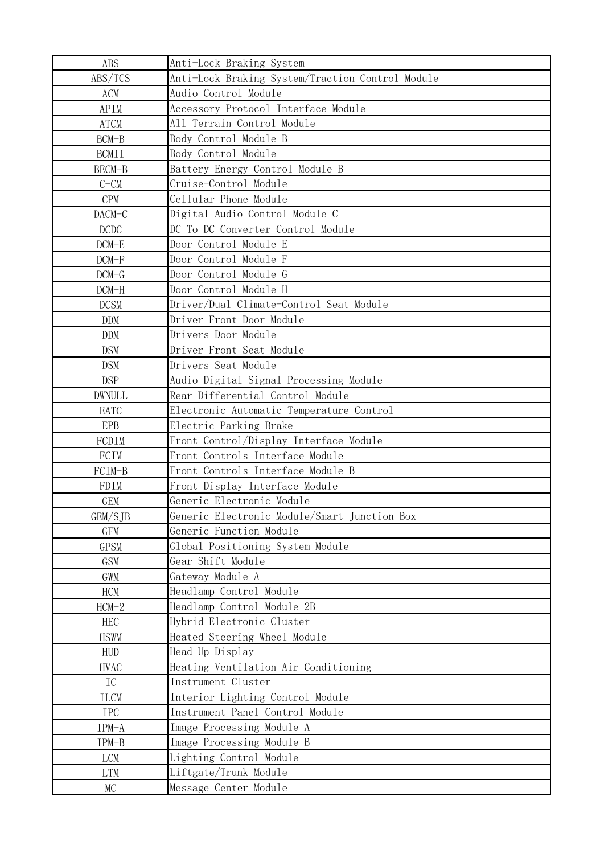| <b>ABS</b>    | Anti-Lock Braking System                         |
|---------------|--------------------------------------------------|
| ABS/TCS       | Anti-Lock Braking System/Traction Control Module |
| <b>ACM</b>    | Audio Control Module                             |
| APIM          | Accessory Protocol Interface Module              |
| <b>ATCM</b>   | All Terrain Control Module                       |
| BCM-B         | Body Control Module B                            |
| <b>BCMII</b>  | Body Control Module                              |
| BECM-B        | Battery Energy Control Module B                  |
| $C-CM$        | Cruise-Control Module                            |
| CPM           | Cellular Phone Module                            |
| DACM-C        | Digital Audio Control Module C                   |
| DCDC          | DC To DC Converter Control Module                |
| $DCM-E$       | Door Control Module E                            |
| $DCM-F$       | Door Control Module F                            |
| $DCM-G$       | Door Control Module G                            |
| DCM-H         | Door Control Module H                            |
| <b>DCSM</b>   | Driver/Dual Climate-Control Seat Module          |
| <b>DDM</b>    | Driver Front Door Module                         |
| <b>DDM</b>    | Drivers Door Module                              |
| <b>DSM</b>    | Driver Front Seat Module                         |
| <b>DSM</b>    | Drivers Seat Module                              |
| <b>DSP</b>    | Audio Digital Signal Processing Module           |
| <b>DWNULL</b> | Rear Differential Control Module                 |
| EATC          | Electronic Automatic Temperature Control         |
| <b>EPB</b>    | Electric Parking Brake                           |
| FCDIM         | Front Control/Display Interface Module           |
| FCIM          | Front Controls Interface Module                  |
| FCIM-B        | Front Controls Interface Module B                |
| FDIM          | Front Display Interface Module                   |
| <b>GEM</b>    | Generic Electronic Module                        |
| GEM/SJB       | Generic Electronic Module/Smart Junction Box     |
| GFM           | Generic Function Module                          |
| <b>GPSM</b>   | Global Positioning System Module                 |
| <b>GSM</b>    | Gear Shift Module                                |
| GWM           | Gateway Module A                                 |
| HCM           | Headlamp Control Module                          |
| $HCM-2$       | Headlamp Control Module 2B                       |
| <b>HEC</b>    | Hybrid Electronic Cluster                        |
| <b>HSWM</b>   | Heated Steering Wheel Module                     |
| <b>HUD</b>    | Head Up Display                                  |
| <b>HVAC</b>   | Heating Ventilation Air Conditioning             |
| IC            | Instrument Cluster                               |
| ILCM          | Interior Lighting Control Module                 |
| <b>IPC</b>    | Instrument Panel Control Module                  |
| IPM-A         | Image Processing Module A                        |
| IPM-B         | Image Processing Module B                        |
| <b>LCM</b>    | Lighting Control Module                          |
| <b>LTM</b>    | Liftgate/Trunk Module                            |
| MC            | Message Center Module                            |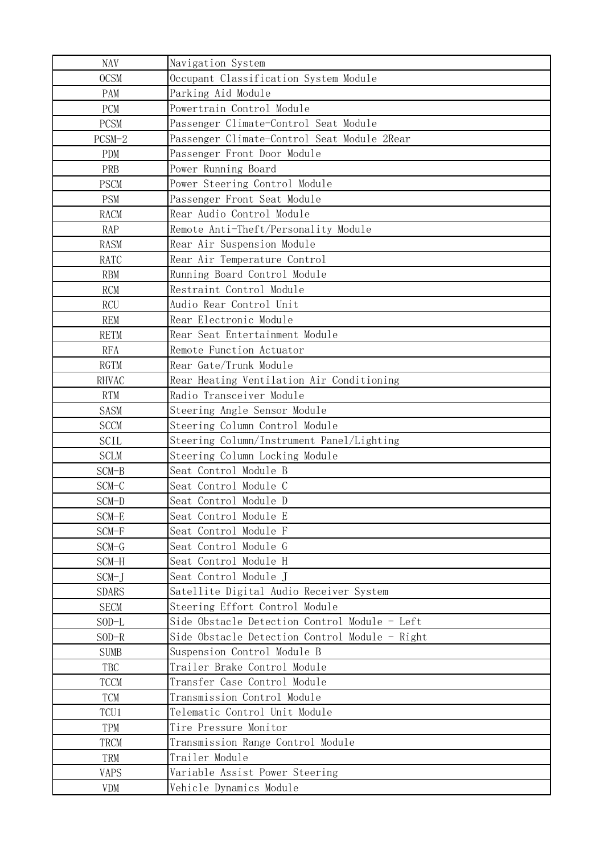| <b>NAV</b>                | Navigation System                                           |
|---------------------------|-------------------------------------------------------------|
| <b>OCSM</b>               | Occupant Classification System Module                       |
| PAM                       | Parking Aid Module                                          |
| PCM                       | Powertrain Control Module                                   |
| <b>PCSM</b>               | Passenger Climate-Control Seat Module                       |
| $PCSM-2$                  | Passenger Climate-Control Seat Module 2Rear                 |
| <b>PDM</b>                | Passenger Front Door Module                                 |
| PRB                       | Power Running Board                                         |
| <b>PSCM</b>               | Power Steering Control Module                               |
| <b>PSM</b>                | Passenger Front Seat Module                                 |
| <b>RACM</b>               | Rear Audio Control Module                                   |
| <b>RAP</b>                | Remote Anti-Theft/Personality Module                        |
| <b>RASM</b>               | Rear Air Suspension Module                                  |
| <b>RATC</b>               | Rear Air Temperature Control                                |
| <b>RBM</b>                | Running Board Control Module                                |
| <b>RCM</b>                | Restraint Control Module                                    |
| <b>RCU</b>                | Audio Rear Control Unit                                     |
| <b>REM</b>                | Rear Electronic Module                                      |
| <b>RETM</b>               | Rear Seat Entertainment Module                              |
| <b>RFA</b>                | Remote Function Actuator                                    |
| <b>RGTM</b>               | Rear Gate/Trunk Module                                      |
| <b>RHVAC</b>              | Rear Heating Ventilation Air Conditioning                   |
| <b>RTM</b>                | Radio Transceiver Module                                    |
| <b>SASM</b>               | Steering Angle Sensor Module                                |
| <b>SCCM</b>               | Steering Column Control Module                              |
| <b>SCIL</b>               | Steering Column/Instrument Panel/Lighting                   |
| <b>SCLM</b>               | Steering Column Locking Module                              |
| SCM-B                     | Seat Control Module B                                       |
| SCM-C                     | Seat Control Module C                                       |
| SCM-D                     | Seat Control Module D                                       |
| SCM-E                     | Seat Control Module E                                       |
| SCM-F                     | Seat Control Module F                                       |
| SCM-G                     | Seat Control Module G                                       |
| SCM-H                     | Seat Control Module H                                       |
| $SCM-J$                   | Seat Control Module J                                       |
| <b>SDARS</b>              | Satellite Digital Audio Receiver System                     |
| <b>SECM</b>               | Steering Effort Control Module                              |
| $SOD-L$                   | Side Obstacle Detection Control Module - Left               |
| $SOD-R$                   | Side Obstacle Detection Control Module - Right              |
| <b>SUMB</b>               | Suspension Control Module B                                 |
| TBC                       | Trailer Brake Control Module                                |
| <b>TCCM</b><br><b>TCM</b> | Transfer Case Control Module<br>Transmission Control Module |
| TCU1                      | Telematic Control Unit Module                               |
| TPM                       | Tire Pressure Monitor                                       |
| TRCM                      | Transmission Range Control Module                           |
| TRM                       | Trailer Module                                              |
| <b>VAPS</b>               | Variable Assist Power Steering                              |
| <b>VDM</b>                | Vehicle Dynamics Module                                     |
|                           |                                                             |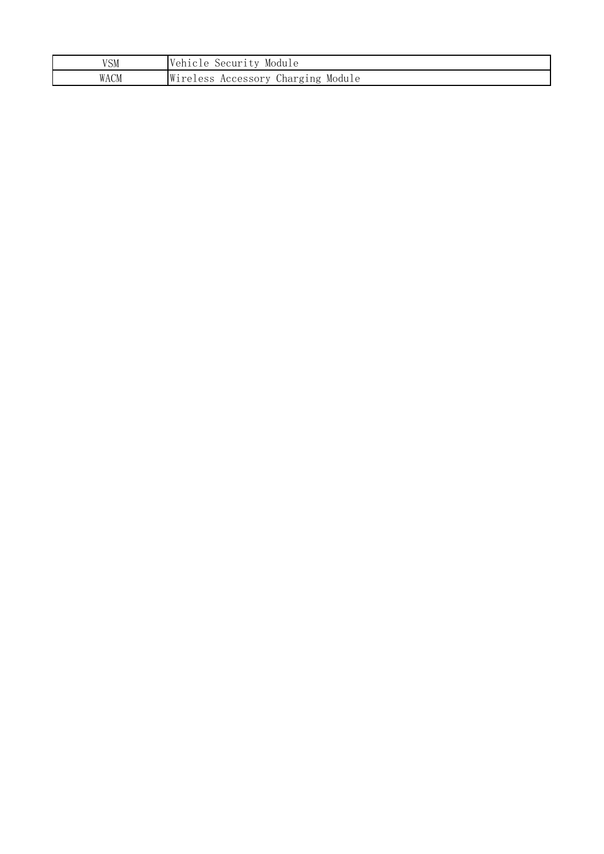| VSM  | Vehicle<br>Module<br>Security            |
|------|------------------------------------------|
| WACM | Wireless<br>Charging Module<br>Accessory |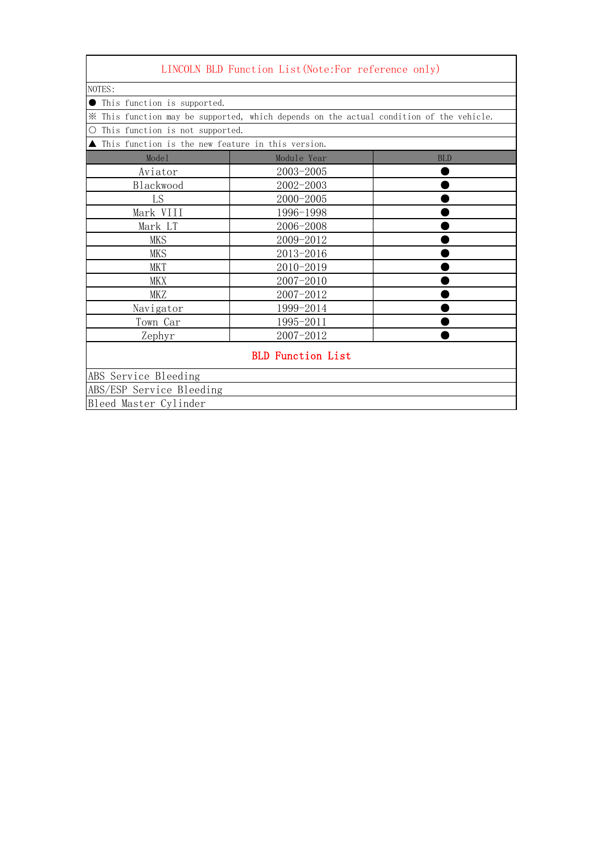|                                                                    | LINCOLN BLD Function List (Note: For reference only)                                    |            |
|--------------------------------------------------------------------|-----------------------------------------------------------------------------------------|------------|
| NOTES:                                                             |                                                                                         |            |
| ● This function is supported.                                      |                                                                                         |            |
|                                                                    | * This function may be supported, which depends on the actual condition of the vehicle. |            |
| This function is not supported.<br>$\bigcirc$                      |                                                                                         |            |
| $\blacktriangle$ This function is the new feature in this version. |                                                                                         |            |
| Model                                                              | Module Year                                                                             | <b>BLD</b> |
| Aviator                                                            | 2003-2005                                                                               |            |
| Blackwood                                                          | 2002-2003                                                                               |            |
| LS                                                                 | 2000-2005                                                                               |            |
| Mark VIII                                                          | 1996-1998                                                                               |            |
| Mark LT                                                            | 2006-2008                                                                               |            |
| <b>MKS</b>                                                         | 2009-2012                                                                               |            |
| <b>MKS</b>                                                         | 2013-2016                                                                               |            |
| <b>MKT</b>                                                         | 2010-2019                                                                               |            |
| MKX                                                                | 2007-2010                                                                               |            |
| MKZ                                                                | 2007-2012                                                                               |            |
| Navigator                                                          | 1999-2014                                                                               |            |
| Town Car                                                           | 1995-2011                                                                               |            |
| Zephyr                                                             | 2007-2012                                                                               |            |
|                                                                    | <b>BLD</b> Function List                                                                |            |
| ABS Service Bleeding                                               |                                                                                         |            |
| ABS/ESP Service Bleeding                                           |                                                                                         |            |
| Bleed Master Cylinder                                              |                                                                                         |            |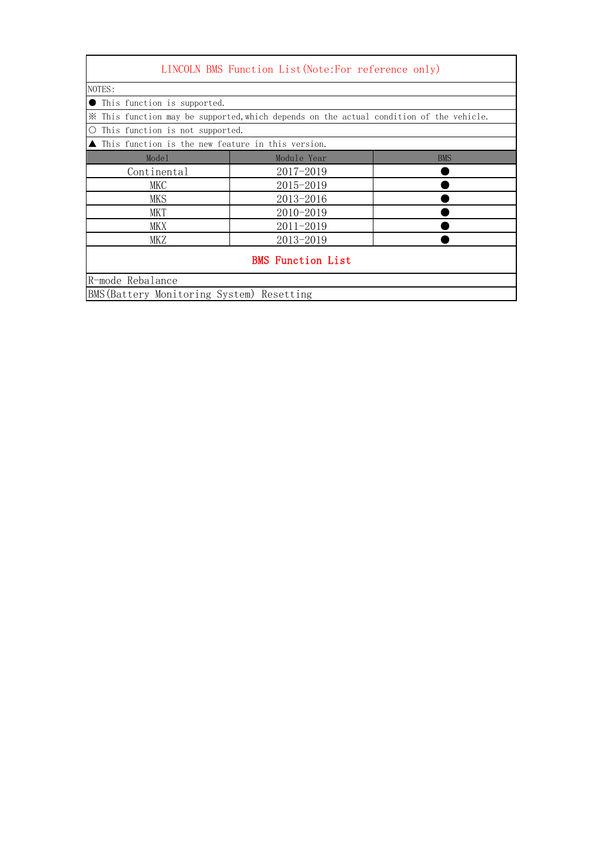| LINCOLN BMS Function List (Note: For reference only)               |                                                                                         |            |  |
|--------------------------------------------------------------------|-----------------------------------------------------------------------------------------|------------|--|
| NOTES:                                                             |                                                                                         |            |  |
| This function is supported.                                        |                                                                                         |            |  |
|                                                                    | * This function may be supported, which depends on the actual condition of the vehicle. |            |  |
| $\bigcirc$<br>This function is not supported.                      |                                                                                         |            |  |
| $\blacktriangle$ This function is the new feature in this version. |                                                                                         |            |  |
| Model                                                              | Module Year                                                                             | <b>BMS</b> |  |
| Continental                                                        | 2017-2019                                                                               |            |  |
| MKC                                                                | 2015-2019                                                                               |            |  |
| MKS                                                                | 2013-2016                                                                               |            |  |
| MKT                                                                | 2010-2019                                                                               |            |  |
| $2011 - 2019$<br>MKX                                               |                                                                                         |            |  |
| <b>MKZ</b>                                                         | 2013-2019                                                                               |            |  |
|                                                                    | <b>BMS</b> Function List                                                                |            |  |
| R-mode Rebalance                                                   |                                                                                         |            |  |
| BMS (Battery Monitoring System) Resetting                          |                                                                                         |            |  |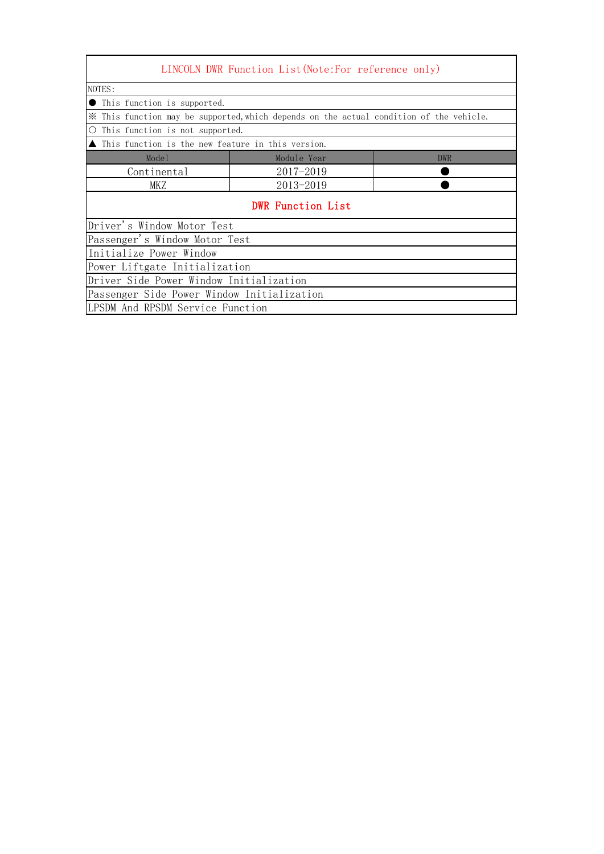| LINCOLN DWR Function List (Note: For reference only)                                    |             |            |
|-----------------------------------------------------------------------------------------|-------------|------------|
| NOTES:                                                                                  |             |            |
| This function is supported.                                                             |             |            |
| * This function may be supported, which depends on the actual condition of the vehicle. |             |            |
| This function is not supported.                                                         |             |            |
| This function is the new feature in this version.                                       |             |            |
| Model                                                                                   | Module Year | <b>DWR</b> |
| Continental                                                                             | 2017-2019   |            |
| <b>MKZ</b>                                                                              | 2013-2019   |            |
| <b>DWR Function List</b>                                                                |             |            |
| Driver's Window Motor Test                                                              |             |            |
| Passenger's Window Motor Test                                                           |             |            |
| Initialize Power Window                                                                 |             |            |
| Power Liftgate Initialization                                                           |             |            |
| Driver Side Power Window Initialization                                                 |             |            |
| Passenger Side Power Window Initialization                                              |             |            |
| LPSDM And RPSDM Service Function                                                        |             |            |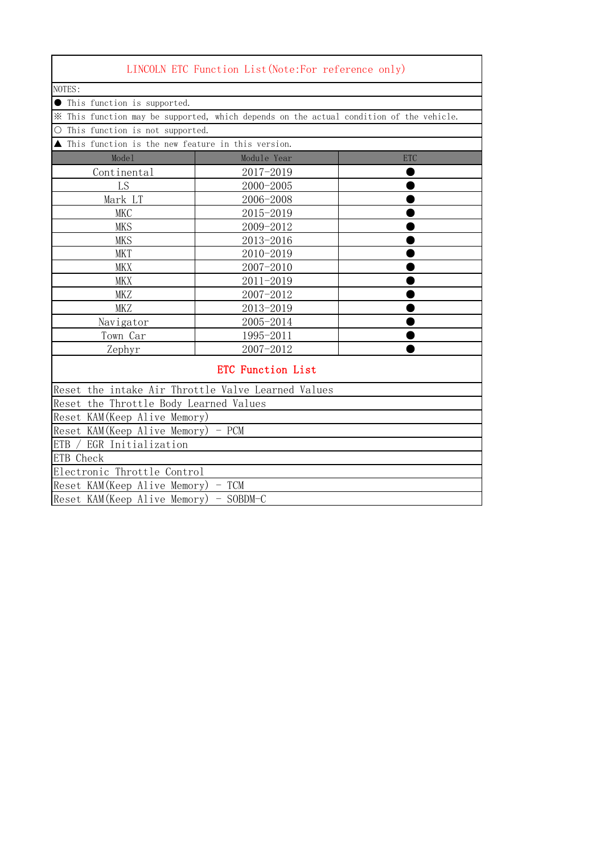|                                                                        | LINCOLN ETC Function List (Note:For reference only)                                     |            |
|------------------------------------------------------------------------|-----------------------------------------------------------------------------------------|------------|
| NOTES:                                                                 |                                                                                         |            |
| ● This function is supported.                                          |                                                                                         |            |
|                                                                        | * This function may be supported, which depends on the actual condition of the vehicle. |            |
| This function is not supported.<br>O                                   |                                                                                         |            |
| This function is the new feature in this version.                      |                                                                                         |            |
| Mode1                                                                  | Module Year                                                                             | <b>ETC</b> |
| Continental                                                            | 2017-2019                                                                               |            |
| LS                                                                     | 2000-2005                                                                               |            |
| Mark LT                                                                | 2006-2008                                                                               |            |
| <b>MKC</b>                                                             | 2015-2019                                                                               |            |
| <b>MKS</b>                                                             | 2009-2012                                                                               |            |
| <b>MKS</b>                                                             | 2013-2016                                                                               |            |
| <b>MKT</b>                                                             | 2010-2019                                                                               |            |
| <b>MKX</b>                                                             | 2007-2010                                                                               |            |
| <b>MKX</b>                                                             | 2011-2019                                                                               |            |
| <b>MKZ</b>                                                             | 2007-2012                                                                               |            |
| <b>MKZ</b>                                                             | 2013-2019                                                                               |            |
| Navigator                                                              | 2005-2014                                                                               |            |
| Town Car                                                               | 1995-2011                                                                               |            |
| Zephyr                                                                 | 2007-2012                                                                               |            |
|                                                                        | <b>ETC Function List</b>                                                                |            |
| Reset the intake Air Throttle Valve Learned Values                     |                                                                                         |            |
| Reset the Throttle Body Learned Values                                 |                                                                                         |            |
| Reset KAM (Keep Alive Memory)                                          |                                                                                         |            |
| $\text{Reset KAM}(\text{Keep Alice } \text{Mive Memory}) - \text{PCM}$ |                                                                                         |            |
| ETB / EGR Initialization                                               |                                                                                         |            |
| ETB Check                                                              |                                                                                         |            |
| Electronic Throttle Control                                            |                                                                                         |            |
| Reset KAM (Keep Alive Memory) - TCM                                    |                                                                                         |            |
| Reset KAM (Keep Alive Memory) - SOBDM-C                                |                                                                                         |            |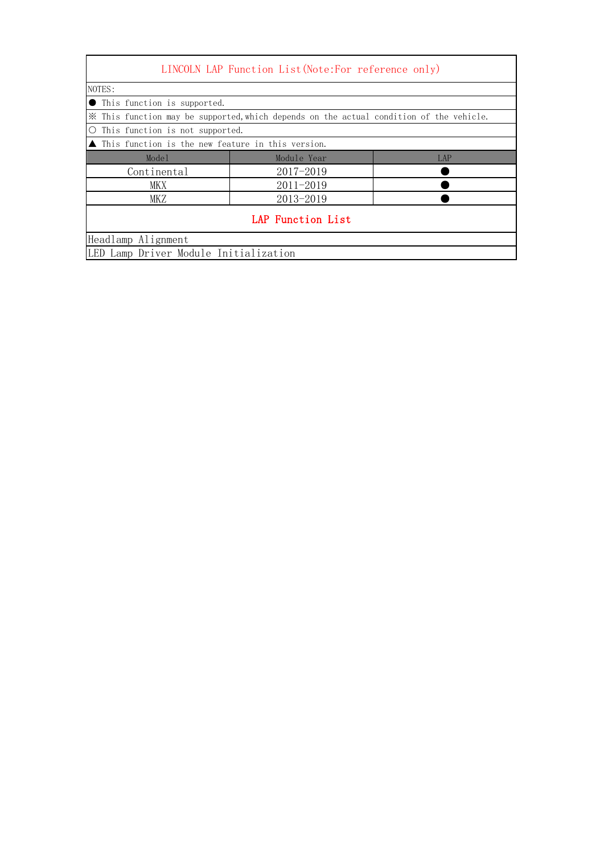|                                                                                         | LINCOLN LAP Function List (Note: For reference only)               |     |  |
|-----------------------------------------------------------------------------------------|--------------------------------------------------------------------|-----|--|
| NOTES:                                                                                  |                                                                    |     |  |
| • This function is supported.                                                           |                                                                    |     |  |
| X This function may be supported, which depends on the actual condition of the vehicle. |                                                                    |     |  |
| ○ This function is not supported.                                                       |                                                                    |     |  |
|                                                                                         | $\blacktriangle$ This function is the new feature in this version. |     |  |
| Model                                                                                   | Module Year                                                        | LAP |  |
| Continental                                                                             | $2017 - 2019$                                                      |     |  |
| MKX                                                                                     | $2011 - 2019$                                                      |     |  |
| 2013-2019<br>MKZ                                                                        |                                                                    |     |  |
|                                                                                         | LAP Function List                                                  |     |  |
| Headlamp Alignment                                                                      |                                                                    |     |  |
| LED Lamp Driver Module Initialization                                                   |                                                                    |     |  |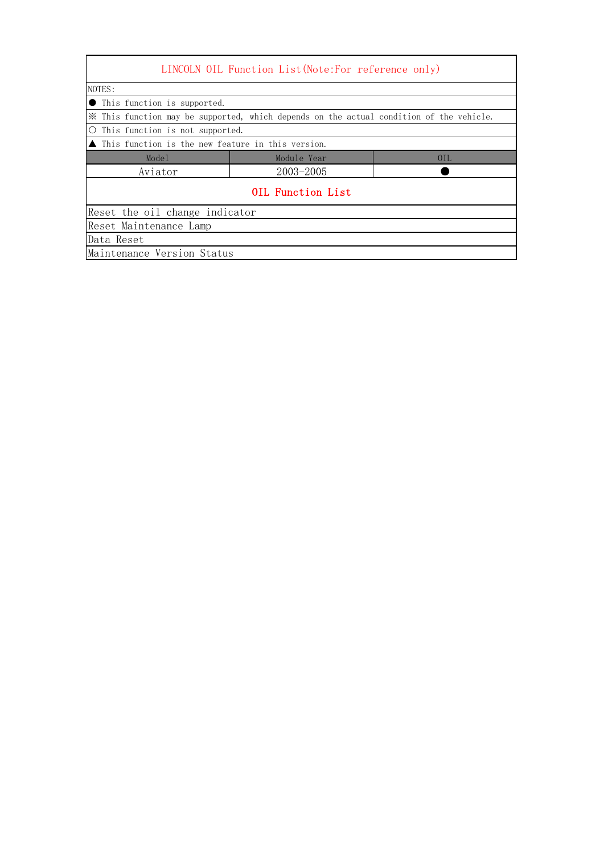| NOTES:                                                                                  |                   |     |
|-----------------------------------------------------------------------------------------|-------------------|-----|
| This function is supported.                                                             |                   |     |
| X This function may be supported, which depends on the actual condition of the vehicle. |                   |     |
| This function is not supported.                                                         |                   |     |
| $\blacksquare$ This function is the new feature in this version.                        |                   |     |
| Mode1                                                                                   | Module Year       | OIL |
| Aviator                                                                                 | $2003 - 2005$     |     |
|                                                                                         | OIL Function List |     |
| Reset the oil change indicator                                                          |                   |     |
| Reset Maintenance Lamp                                                                  |                   |     |
| Data Reset                                                                              |                   |     |
| Maintenance Version Status                                                              |                   |     |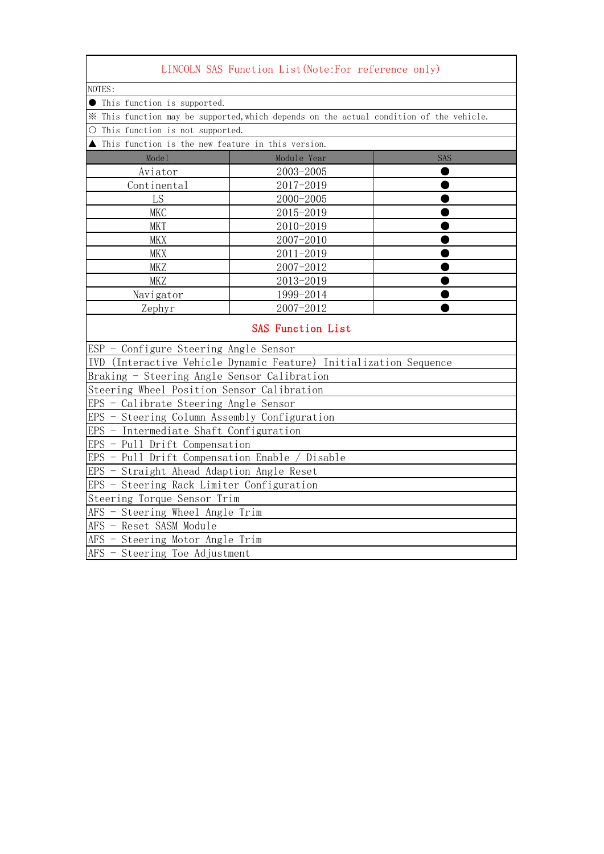| LINCOLN SAS Function List (Note:For reference only)                                     |                                 |     |  |
|-----------------------------------------------------------------------------------------|---------------------------------|-----|--|
| NOTES:                                                                                  |                                 |     |  |
| <b>•</b> This function is supported.                                                    |                                 |     |  |
| * This function may be supported, which depends on the actual condition of the vehicle. |                                 |     |  |
| O This function is not supported.                                                       |                                 |     |  |
| ▲ This function is the new feature in this version.                                     |                                 |     |  |
| Mode1                                                                                   | Module Year                     | SAS |  |
| Aviator                                                                                 | 2003-2005                       |     |  |
| Continental                                                                             | 2017-2019                       |     |  |
| LS                                                                                      | 2000-2005                       |     |  |
| <b>MKC</b>                                                                              | 2015-2019                       |     |  |
| <b>MKT</b>                                                                              | 2010-2019                       |     |  |
| <b>MKX</b>                                                                              | 2007-2010                       |     |  |
| <b>MKX</b>                                                                              | 2011-2019                       |     |  |
| <b>MKZ</b>                                                                              | 2007-2012                       |     |  |
| MKZ                                                                                     | 2013-2019                       |     |  |
| Navigator                                                                               | 1999-2014                       |     |  |
| Zephyr                                                                                  | 2007-2012                       |     |  |
| <b>SAS Function List</b>                                                                |                                 |     |  |
| ESP - Configure Steering Angle Sensor                                                   |                                 |     |  |
| IVD (Interactive Vehicle Dynamic Feature) Initialization Sequence                       |                                 |     |  |
| Braking - Steering Angle Sensor Calibration                                             |                                 |     |  |
| Steering Wheel Position Sensor Calibration                                              |                                 |     |  |
| EPS - Calibrate Steering Angle Sensor                                                   |                                 |     |  |
| EPS - Steering Column Assembly Configuration                                            |                                 |     |  |
| EPS - Intermediate Shaft Configuration                                                  |                                 |     |  |
| EPS - Pull Drift Compensation                                                           |                                 |     |  |
| EPS - Pull Drift Compensation Enable / Disable                                          |                                 |     |  |
| EPS - Straight Ahead Adaption Angle Reset                                               |                                 |     |  |
| EPS - Steering Rack Limiter Configuration                                               |                                 |     |  |
|                                                                                         | Steering Torque Sensor Trim     |     |  |
|                                                                                         | AFS - Steering Wheel Angle Trim |     |  |
| AFS - Reset SASM Module                                                                 |                                 |     |  |
| AFS - Steering Motor Angle Trim                                                         |                                 |     |  |
| AFS - Steering Toe Adjustment                                                           |                                 |     |  |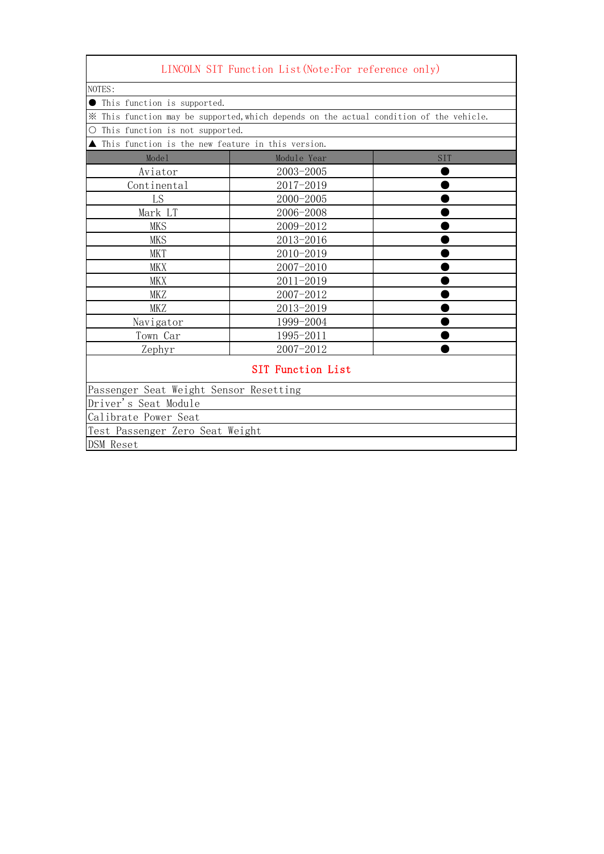|                                                   | LINCOLN SIT Function List (Note: For reference only)                                    |     |
|---------------------------------------------------|-----------------------------------------------------------------------------------------|-----|
| NOTES:                                            |                                                                                         |     |
| This function is supported.                       |                                                                                         |     |
|                                                   | * This function may be supported, which depends on the actual condition of the vehicle. |     |
| This function is not supported.<br>О              |                                                                                         |     |
| This function is the new feature in this version. |                                                                                         |     |
| Mode1                                             | Module Year                                                                             | SIT |
| Aviator                                           | 2003-2005                                                                               |     |
| Continental                                       | 2017-2019                                                                               |     |
| LS                                                | 2000-2005                                                                               |     |
| Mark LT                                           | 2006-2008                                                                               |     |
| <b>MKS</b>                                        | 2009-2012                                                                               |     |
| <b>MKS</b>                                        | 2013-2016                                                                               |     |
| <b>MKT</b>                                        | 2010-2019                                                                               |     |
| <b>MKX</b>                                        | 2007-2010                                                                               |     |
| <b>MKX</b>                                        | 2011-2019                                                                               |     |
| <b>MKZ</b>                                        | 2007-2012                                                                               |     |
| MKZ                                               | 2013-2019                                                                               |     |
| Navigator                                         | 1999-2004                                                                               |     |
| Town Car                                          | 1995-2011                                                                               |     |
| Zephyr                                            | 2007-2012                                                                               |     |
|                                                   | <b>SIT Function List</b>                                                                |     |
| Passenger Seat Weight Sensor Resetting            |                                                                                         |     |
| Driver's Seat Module                              |                                                                                         |     |
| Calibrate Power Seat                              |                                                                                         |     |
| Test Passenger Zero Seat Weight                   |                                                                                         |     |
| DSM Reset                                         |                                                                                         |     |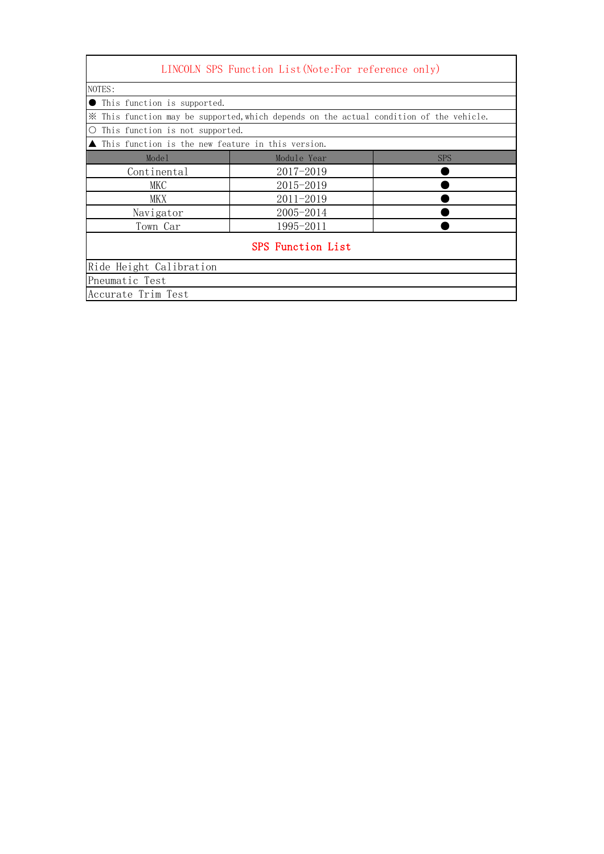| LINCOLN SPS Function List (Note: For reference only)                                    |               |            |  |
|-----------------------------------------------------------------------------------------|---------------|------------|--|
| NOTES:                                                                                  |               |            |  |
| • This function is supported.                                                           |               |            |  |
| X This function may be supported, which depends on the actual condition of the vehicle. |               |            |  |
| $\circ$<br>This function is not supported.                                              |               |            |  |
| $\blacktriangle$ This function is the new feature in this version.                      |               |            |  |
| Mode1                                                                                   | Module Year   | <b>SPS</b> |  |
| Continental                                                                             | $2017 - 2019$ |            |  |
| MKC                                                                                     | 2015-2019     |            |  |
| MKX                                                                                     | $2011 - 2019$ |            |  |
| Navigator                                                                               | 2005-2014     |            |  |
| Town Car                                                                                | 1995-2011     |            |  |
| SPS Function List                                                                       |               |            |  |
| Ride Height Calibration                                                                 |               |            |  |
| Pneumatic Test                                                                          |               |            |  |
| Accurate Trim Test                                                                      |               |            |  |